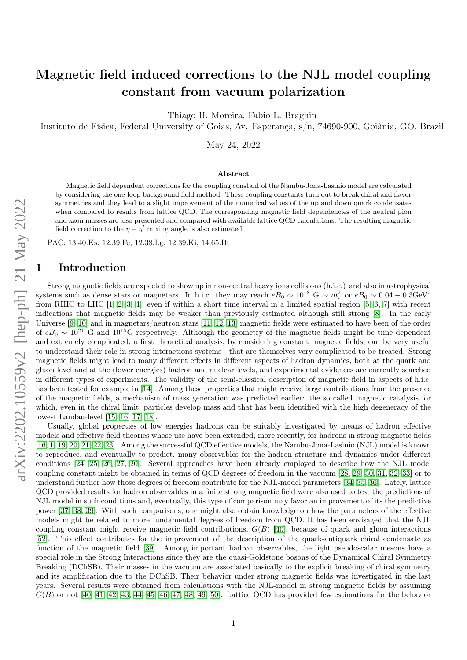# Magnetic field induced corrections to the NJL model coupling constant from vacuum polarization

Thiago H. Moreira, Fabio L. Braghin

Instituto de Física, Federal University of Goias, Av. Esperança, s/n, 74690-900, Goiânia, GO, Brazil

May 24, 2022

#### Abstract

Magnetic field dependent corrections for the coupling constant of the Nambu-Jona-Lasinio model are calculated by considering the one-loop background field method. These coupling constants turn out to break chiral and flavor symmetries and they lead to a slight improvement of the numerical values of the up and down quark condensates when compared to results from lattice QCD. The corresponding magnetic field dependencies of the neutral pion and kaon masses are also presented and compared with available lattice QCD calculations. The resulting magnetic field correction to the  $\eta - \eta'$  mixing angle is also estimated.

PAC: 13.40.Ks, 12.39.Fe, 12.38.Lg, 12.39.Ki, 14.65.Bt

### 1 Introduction

Strong magnetic fields are expected to show up in non-central heavy ions collisions (h.i.c.) and also in astrophysical systems such as dense stars or magnetars. In h.i.c. they may reach  $eB_0 \sim 10^{18}$  G  $\sim m_\pi^2$  or  $eB_0 \sim 0.04 - 0.3$ GeV<sup>2</sup> from RHIC to LHC [\[1,](#page-18-0) [2,](#page-18-1) [3,](#page-18-2) [4\]](#page-18-3), even if within a short time interval in a limited spatial region [\[5,](#page-18-4) [6,](#page-18-5) [7\]](#page-18-6) with recent indications that magnetic fields may be weaker than previously estimated although still strong [\[8\]](#page-18-7). In the early Universe [\[9,](#page-18-8) [10\]](#page-18-9) and in magnetars/neutron stars [\[11,](#page-18-10) [12,](#page-18-11) [13\]](#page-18-12) magnetic fields were estimated to have been of the order of  $eB_0 \sim 10^{21}$  G and  $10^{15}$ G respectively. Although the geometry of the magnetic fields might be time dependent and extremely complicated, a first theoretical analysis, by considering constant magnetic fields, can be very useful to understand their role in strong interactions systems - that are themselves very complicated to be treated. Strong magnetic fields might lead to many different effects in different aspects of hadron dynamics, both at the quark and gluon level and at the (lower energies) hadron and nuclear levels, and experimental evidences are currently searched in different types of experiments. The validity of the semi-classical description of magnetic field in aspects of h.i.c. has been tested for example in [\[14\]](#page-18-13). Among these properties that might receive large contributions from the presence of the magnetic fields, a mechanism of mass generation was predicted earlier: the so called magnetic catalysis for which, even in the chiral limit, particles develop mass and that has been identified with the high degeneracy of the lowest Landau-level [\[15,](#page-18-14) [16,](#page-18-15) [17,](#page-18-16) [18\]](#page-18-17).

Usually, global properties of low energies hadrons can be suitably investigated by means of hadron effective models and effective field theories whose use have been extended, more recently, for hadrons in strong magnetic fields [\[16,](#page-18-15) [1,](#page-18-0) [19,](#page-18-18) [20,](#page-18-19) [21,](#page-18-20) [22,](#page-18-21) [23\]](#page-18-22). Among the successful QCD effective models, the Nambu-Jona-Lasinio (NJL) model is known to reproduce, and eventually to predict, many observables for the hadron structure and dynamics under different conditions [\[24,](#page-19-0) [25,](#page-19-1) [26,](#page-19-2) [27,](#page-19-3) [20\]](#page-18-19). Several approaches have been already employed to describe how the NJL model coupling constant might be obtained in terms of QCD degrees of freedom in the vacuum [\[28,](#page-19-4) [29,](#page-19-5) [30,](#page-19-6) [31,](#page-19-7) [32,](#page-19-8) [33\]](#page-19-9) or to understand further how those degrees of freedom contribute for the NJL-model parameters [\[34,](#page-19-10) [35,](#page-19-11) [36\]](#page-19-12). Lately, lattice QCD provided results for hadron observables in a finite strong magnetic field were also used to test the predictions of NJL model in such conditions and, eventually, this type of comparison may favor an improvement of its the predictive power [\[37,](#page-19-13) [38,](#page-19-14) [39\]](#page-19-15). With such comparisons, one might also obtain knowledge on how the parameters of the effective models might be related to more fundamental degrees of freedom from QCD. It has been envisaged that the NJL coupling constant might receive magnetic field contributions,  $G(B)$  [\[40\]](#page-19-16), because of quark and gluon interactions [\[52\]](#page-20-0). This effect contributes for the improvement of the description of the quark-antiquark chiral condensate as function of the magnetic field [\[39\]](#page-19-15). Among important hadron observables, the light pseudoscalar mesons have a special role in the Strong Interactions since they are the quasi-Goldstone bosons of the Dynamical Chiral Symmetry Breaking (DChSB). Their masses in the vacuum are associated basically to the explicit breaking of chiral symmetry and its amplification due to the DChSB. Their behavior under strong magnetic fields was investigated in the last years. Several results were obtained from calculations with the NJL-model in strong magnetic fields by assuming  $G(B)$  or not [\[40,](#page-19-16) [41,](#page-19-17) [42,](#page-19-18) [43,](#page-19-19) [44,](#page-19-20) [45,](#page-19-21) [46,](#page-19-22) [47,](#page-19-23) [48,](#page-20-1) [49,](#page-20-2) [50\]](#page-20-3). Lattice QCD has provided few estimations for the behavior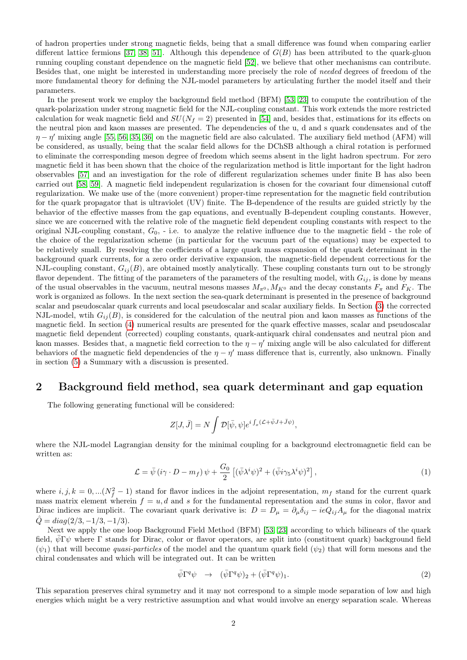of hadron properties under strong magnetic fields, being that a small difference was found when comparing earlier different lattice fermions [\[37,](#page-19-13) [38,](#page-19-14) [51\]](#page-20-4). Although this dependence of  $G(B)$  has been attributed to the quark-gluon running coupling constant dependence on the magnetic field [\[52\]](#page-20-0), we believe that other mechanisms can contribute. Besides that, one might be interested in understanding more precisely the role of needed degrees of freedom of the more fundamental theory for defining the NJL-model parameters by articulating further the model itself and their parameters.

In the present work we employ the background field method (BFM) [\[53,](#page-20-5) [23\]](#page-18-22) to compute the contribution of the quark-polarization under strong magnetic field for the NJL-coupling constant. This work extends the more restricted calculation for weak magnetic field and  $SU(N_f = 2)$  presented in [\[54\]](#page-20-6) and, besides that, estimations for its effects on the neutral pion and kaon masses are presented. The dependencies of the u, d and s quark condensates and of the  $\eta-\eta'$  mixing angle [\[55,](#page-20-7) [56,](#page-20-8) [35,](#page-19-11) [36\]](#page-19-12) on the magnetic field are also calculated. The auxiliary field method (AFM) will be considered, as usually, being that the scalar field allows for the DChSB although a chiral rotation is performed to eliminate the corresponding meson degree of freedom which seems absent in the light hadron spectrum. For zero magnetic field it has been shown that the choice of the regularization method is little important for the light hadron observables [\[57\]](#page-20-9) and an investigation for the role of different regularization schemes under finite B has also been carried out [\[58,](#page-20-10) [59\]](#page-20-11). A magnetic field independent regularization is chosen for the covariant four dimensional cutoff regularization. We make use of the (more convenient) proper-time representation for the magnetic field contribution for the quark propagator that is ultraviolet (UV) finite. The B-dependence of the results are guided strictly by the behavior of the effective masses from the gap equations, and eventually B-dependent coupling constants. However, since we are concerned with the relative role of the magnetic field dependent coupling constants with respect to the original NJL-coupling constant,  $G_0$ ,  $\overline{\cdot}$  i.e. to analyze the relative influence due to the magnetic field  $\overline{\cdot}$  the role of the choice of the regularization scheme (in particular for the vacuum part of the equations) may be expected to be relatively small. By resolving the coefficients of a large quark mass expansion of the quark determinant in the background quark currents, for a zero order derivative expansion, the magnetic-field dependent corrections for the NJL-coupling constant,  $G_{ij}(B)$ , are obtained mostly analytically. These coupling constants turn out to be strongly flavor dependent. The fitting of the parameters of the parameters of the resulting model, with  $G_{ij}$ , is done by means of the usual observables in the vacuum, neutral mesons masses  $M_{\pi^0}$ ,  $M_{K^0}$  and the decay constants  $F_{\pi}$  and  $F_K$ . The work is organized as follows. In the next section the sea-quark determinant is presented in the presence of background scalar and pseudoscalar quark currents and local pseudoscalar and scalar auxiliary fields. In Section [\(3\)](#page-5-0) the corrected NJL-model, wtih  $G_{ij}(B)$ , is considered for the calculation of the neutral pion and kaon masses as functions of the magnetic field. In section [\(4\)](#page-7-0) numerical results are presented for the quark effective masses, scalar and pseudoscalar magnetic field dependent (corrected) coupling constants, quark-antiquark chiral condensates and neutral pion and kaon masses. Besides that, a magnetic field correction to the  $\eta - \eta'$  mixing angle will be also calculated for different behaviors of the magnetic field dependencies of the  $\eta - \eta'$  mass difference that is, currently, also unknown. Finally in section [\(5\)](#page-15-0) a Summary with a discussion is presented.

### 2 Background field method, sea quark determinant and gap equation

The following generating functional will be considered:

$$
Z[J,\bar{J}] = N \int \mathcal{D}[\bar{\psi},\psi] e^{i \int_x (\mathcal{L} + \bar{\psi}J + \bar{J}\psi)},
$$

where the NJL-model Lagrangian density for the minimal coupling for a background electromagnetic field can be written as:

<span id="page-1-0"></span>
$$
\mathcal{L} = \bar{\psi} \left( i\gamma \cdot D - m_f \right) \psi + \frac{G_0}{2} \left[ (\bar{\psi} \lambda^i \psi)^2 + (\bar{\psi} i\gamma_5 \lambda^i \psi)^2 \right], \tag{1}
$$

where  $i, j, k = 0, \ldots (N_f^2 - 1)$  stand for flavor indices in the adjoint representation,  $m_f$  stand for the current quark mass matrix element wherein  $f = u, d$  and s for the fundamental representation and the sums in color, flavor and Dirac indices are implicit. The covariant quark derivative is:  $D = D_{\mu} = \partial_{\mu} \delta_{ij} - ieQ_{ij}A_{\mu}$  for the diagonal matrix  $\hat{Q} = diag(2/3, -1/3, -1/3).$ 

Next we apply the one loop Background Field Method (BFM) [\[53,](#page-20-5) [23\]](#page-18-22) according to which bilinears of the quark field,  $\bar{\psi} \Gamma \psi$  where Γ stands for Dirac, color or flavor operators, are split into (constituent quark) background field  $(\psi_1)$  that will become *quasi-particles* of the model and the quantum quark field  $(\psi_2)$  that will form mesons and the chiral condensates and which will be integrated out. It can be written

$$
\bar{\psi}\Gamma^q\psi \rightarrow (\bar{\psi}\Gamma^q\psi)_2 + (\bar{\psi}\Gamma^q\psi)_1. \tag{2}
$$

This separation preserves chiral symmetry and it may not correspond to a simple mode separation of low and high energies which might be a very restrictive assumption and what would involve an energy separation scale. Whereas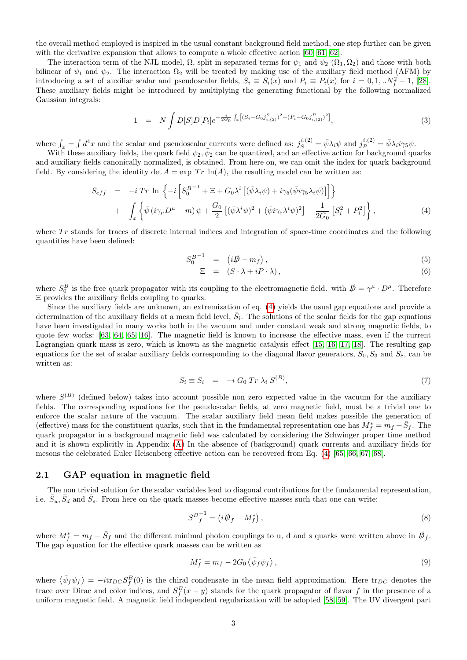the overall method employed is inspired in the usual constant background field method, one step further can be given with the derivative expansion that allows to compute a whole effective action [\[60,](#page-20-12) [61,](#page-20-13) [62\]](#page-20-14).

The interaction term of the NJL model,  $\Omega$ , split in separated terms for  $\psi_1$  and  $\psi_2$  ( $\Omega_1, \Omega_2$ ) and those with both bilinear of  $\psi_1$  and  $\psi_2$ . The interaction  $\Omega_2$  will be treated by making use of the auxiliary field method (AFM) by introducing a set of auxiliar scalar and pseudoscalar fields,  $S_i \equiv S_i(x)$  and  $P_i \equiv P_i(x)$  for  $i = 0, 1, ...N_f^2 - 1$ , [\[28\]](#page-19-4). These auxiliary fields might be introduced by multiplying the generating functional by the following normalized Gaussian integrals:

$$
1 = N \int D[S]D[P_i]e^{-\frac{i}{2G_0}\int_x \left[ (S_i - G_0 j_{i,(2)}^S)^2 + (P_i - G_0 j_{i,(2)}^P)^2 \right]}, \tag{3}
$$

where  $\int_x = \int d^4x$  and the scalar and pseudoscalar currents were defined as:  $j_S^{i,(2)} = \bar{\psi} \lambda_i \psi$  and  $j_P^{i,(2)} = \bar{\psi} \lambda_i i \gamma_5 \psi$ .

With these auxiliary fields, the quark field  $\psi_2, \bar{\psi}_2$  can be quantized, and an effective action for background quarks and auxiliary fields canonically normalized, is obtained. From here on, we can omit the index for quark background field. By considering the identity det  $A = \exp Tr \ln(A)$ , the resulting model can be written as:

<span id="page-2-0"></span>
$$
S_{eff} = -i Tr \ln \left\{ -i \left[ S_0^{B-1} + \Xi + G_0 \lambda^i \left[ (\bar{\psi} \lambda_i \psi) + i \gamma_5 (\bar{\psi} i \gamma_5 \lambda_i \psi) \right] \right] \right\} + \int_x \left\{ \bar{\psi} \left( i \gamma_\mu D^\mu - m \right) \psi + \frac{G_0}{2} \left[ (\bar{\psi} \lambda^i \psi)^2 + (\bar{\psi} i \gamma_5 \lambda^i \psi)^2 \right] - \frac{1}{2G_0} \left[ S_i^2 + P_i^2 \right] \right\},
$$
(4)

where  $Tr$  stands for traces of discrete internal indices and integration of space-time coordinates and the following quantities have been defined:

$$
S_0^{B^{-1}} = (i\rlap{\,/}D - m_f), \tag{5}
$$

$$
\Xi = (S \cdot \lambda + iP \cdot \lambda), \tag{6}
$$

where  $S_0^B$  is the free quark propagator with its coupling to the electromagnetic field. with  $D \psi = \gamma^\mu \cdot D^\mu$ . Therefore Ξ provides the auxiliary fields coupling to quarks.

Since the auxiliary fields are unknown, an extremization of eq. [\(4\)](#page-2-0) yields the usual gap equations and provide a determination of the auxiliary fields at a mean field level,  $\bar{S}_i$ . The solutions of the scalar fields for the gap equations have been investigated in many works both in the vacuum and under constant weak and strong magnetic fields, to quote few works: [\[63,](#page-20-15) [64,](#page-20-16) [65,](#page-20-17) [16\]](#page-18-15). The magnetic field is known to increase the effective mass, even if the current Lagrangian quark mass is zero, which is known as the magnetic catalysis effect [\[15,](#page-18-14) [16,](#page-18-15) [17,](#page-18-16) [18\]](#page-18-17). The resulting gap equations for the set of scalar auxiliary fields corresponding to the diagonal flavor generators,  $S_0$ ,  $S_3$  and  $S_8$ , can be written as:

$$
S_i \equiv \bar{S}_i = -i G_0 \operatorname{Tr} \lambda_i S^{(B)}, \tag{7}
$$

where  $S^{(B)}$  (defined below) takes into account possible non zero expected value in the vacuum for the auxiliary fields. The corresponding equations for the pseudoscalar fields, at zero magnetic field, must be a trivial one to enforce the scalar nature of the vacuum. The scalar auxiliary field mean field makes possible the generation of (effective) mass for the constituent quarks, such that in the fundamental representation one has  $M_f^* = m_f + \bar{S}_f$ . The quark propagator in a background magnetic field was calculated by considering the Schwinger proper time method and it is shown explicitly in Appendix [\(A\)](#page-16-0) In the absence of (background) quark currents and auxiliary fields for mesons the celebrated Euler Heisenberg effective action can be recovered from Eq. [\(4\)](#page-2-0) [\[65,](#page-20-17) [66,](#page-20-18) [67,](#page-20-19) [68\]](#page-20-20).

#### 2.1 GAP equation in magnetic field

The non trivial solution for the scalar variables lead to diagonal contributions for the fundamental representation, i.e.  $\bar{S}_u, \bar{S}_d$  and  $\bar{S}_s$ . From here on the quark masses become effective masses such that one can write:

$$
S^B{}_f^{-1} = \left(i\rlap{\,/}D_f - M_f^*\right),\tag{8}
$$

where  $M_f^* = m_f + \bar{S}_f$  and the different minimal photon couplings to u, d and s quarks were written above in  $\mathcal{D}_f$ . The gap equation for the effective quark masses can be written as

$$
M_f^* = m_f - 2G_0 \langle \bar{\psi}_f \psi_f \rangle, \qquad (9)
$$

where  $\langle \bar{\psi}_f \psi_f \rangle = -i \text{tr}_{DC} S_f^B(0)$  is the chiral condensate in the mean field approximation. Here  $\text{tr}_{DC}$  denotes the trace over Dirac and color indices, and  $S_f^B(x-y)$  stands for the quark propagator of flavor f in the presence of a uniform magnetic field. A magnetic field independent regularization will be adopted [\[58,](#page-20-10) [59\]](#page-20-11). The UV divergent part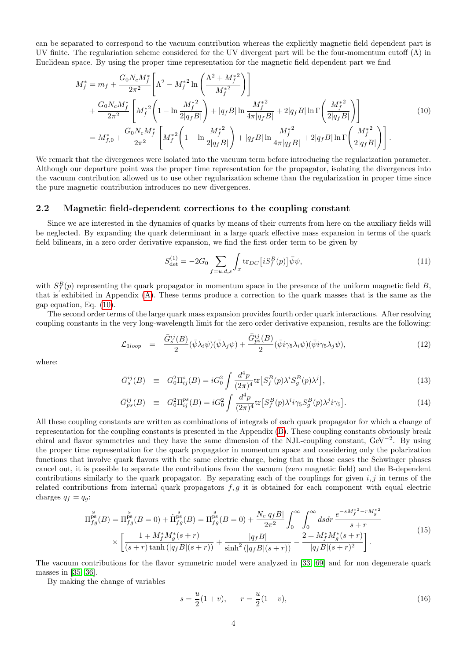can be separated to correspond to the vacuum contribution whereas the explicitly magnetic field dependent part is UV finite. The regulariation scheme considered for the UV divergent part will be the four-momentum cutoff  $(\Lambda)$  in Euclidean space. By using the proper time representation for the magnetic field dependent part we find

<span id="page-3-0"></span>
$$
M_f^* = m_f + \frac{G_0 N_c M_f^*}{2\pi^2} \left[ \Lambda^2 - M_f^{*2} \ln \left( \frac{\Lambda^2 + M_f^{*2}}{M_f^{*2}} \right) \right]
$$
  
+ 
$$
\frac{G_0 N_c M_f^*}{2\pi^2} \left[ M_f^{*2} \left( 1 - \ln \frac{M_f^{*2}}{2|q_f B|} \right) + |q_f B| \ln \frac{M_f^{*2}}{4\pi |q_f B|} + 2|q_f B| \ln \Gamma \left( \frac{M_f^{*2}}{2|q_f B|} \right) \right]
$$
  
= 
$$
M_{f,0}^* + \frac{G_0 N_c M_f^*}{2\pi^2} \left[ M_f^{*2} \left( 1 - \ln \frac{M_f^{*2}}{2|q_f B|} \right) + |q_f B| \ln \frac{M_f^{*2}}{4\pi |q_f B|} + 2|q_f B| \ln \Gamma \left( \frac{M_f^{*2}}{2|q_f B|} \right) \right].
$$
  
(10)

We remark that the divergences were isolated into the vacuum term before introducing the regularization parameter. Although our departure point was the proper time representation for the propagator, isolating the divergences into the vacuum contribution allowed us to use other regularization scheme than the regularization in proper time since the pure magnetic contribution introduces no new divergences.

#### 2.2 Magnetic field-dependent corrections to the coupling constant

Since we are interested in the dynamics of quarks by means of their currents from here on the auxiliary fields will be neglected. By expanding the quark determinant in a large quark effective mass expansion in terms of the quark field bilinears, in a zero order derivative expansion, we find the first order term to be given by

$$
S_{\text{det}}^{(1)} = -2G_0 \sum_{f=u,d,s} \int_x \text{tr}_{DC} \left[ i S_f^B(p) \right] \bar{\psi}\psi,\tag{11}
$$

with  $S_f^B(p)$  representing the quark propagator in momentum space in the presence of the uniform magnetic field B, that is exhibited in Appendix [\(A\)](#page-16-0). These terms produce a correction to the quark masses that is the same as the gap equation, Eq. [\(10\)](#page-3-0).

The second order terms of the large quark mass expansion provides fourth order quark interactions. After resolving coupling constants in the very long-wavelength limit for the zero order derivative expansion, results are the following:

$$
\mathcal{L}_{1loop} = \frac{\bar{G}_{s}^{ij}(B)}{2} (\bar{\psi}\lambda_{i}\psi)(\bar{\psi}\lambda_{j}\psi) + \frac{\bar{G}_{ps}^{ij}(B)}{2} (\bar{\psi}i\gamma_{5}\lambda_{i}\psi)(\bar{\psi}i\gamma_{5}\lambda_{j}\psi), \tag{12}
$$

where:

$$
\bar{G}_{s}^{ij}(B) \equiv G_{0}^{2}\Pi_{ij}^{s}(B) = iG_{0}^{2} \int \frac{d^{4}p}{(2\pi)^{4}} \text{tr}\left[S_{f}^{B}(p)\lambda^{i}S_{g}^{B}(p)\lambda^{j}\right],\tag{13}
$$

$$
\bar{G}_{ps}^{ij}(B) \equiv G_0^2 \Pi_{ij}^{ps}(B) = iG_0^2 \int \frac{d^4p}{(2\pi)^4} \text{tr}\big[S_f^B(p)\lambda^i i\gamma_5 S_g^B(p)\lambda^j i\gamma_5\big].\tag{14}
$$

All these coupling constants are written as combinations of integrals of each quark propagator for which a change of representation for the coupling constants is presented in the Appendix [\(B\)](#page-17-0). These coupling constants obviously break chiral and flavor symmetries and they have the same dimension of the NJL-coupling constant, GeV<sup>−</sup><sup>2</sup> . By using the proper time representation for the quark propagator in momentum space and considering only the polarization functions that involve quark flavors with the same electric charge, being that in those cases the Schwinger phases cancel out, it is possible to separate the contributions from the vacuum (zero magnetic field) and the B-dependent contributions similarly to the quark propagator. By separating each of the couplings for given  $i, j$  in terms of the related contributions from internal quark propagators  $f, g$  it is obtained for each component with equal electric charges  $q_f = q_g$ :

$$
\Pi_{fg}^{\text{ps}}(B) = \Pi_{fg}^{\text{ps}}(B=0) + \tilde{\Pi}_{fg}^{\text{ps}}(B) = \Pi_{fg}^{\text{ps}}(B=0) + \frac{N_c|q_fB|}{2\pi^2} \int_0^\infty \int_0^\infty ds dr \, \frac{e^{-sM_f^*^2 - rM_g^*^2}}{s+r} \times \left[ \frac{1 \mp M_f^* M_g^*(s+r)}{(s+r)\tanh\left(|q_fB|(s+r)\right)} + \frac{|q_fB|}{\sinh^2\left(|q_fB|(s+r)\right)} - \frac{2 \mp M_f^* M_g^*(s+r)}{|q_fB|(s+r)^2} \right]. \tag{15}
$$

The vacuum contributions for the flavor symmetric model were analyzed in [\[33,](#page-19-9) [69\]](#page-20-21) and for non degenerate quark masses in [\[35,](#page-19-11) [36\]](#page-19-12).

By making the change of variables

$$
s = \frac{u}{2}(1+v), \qquad r = \frac{u}{2}(1-v), \tag{16}
$$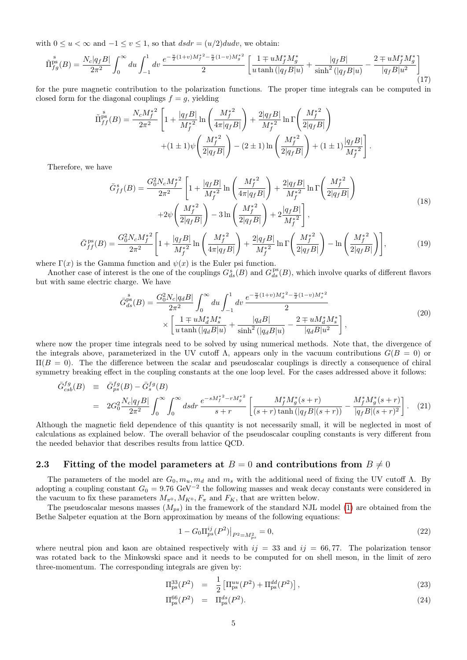with  $0 \le u < \infty$  and  $-1 \le v \le 1$ , so that  $dsdr = (u/2)dudv$ , we obtain:

$$
\tilde{\Pi}_{fg}^{\rm ps}(B) = \frac{N_c|q_fB|}{2\pi^2} \int_0^\infty du \int_{-1}^1 dv \, \frac{e^{-\frac{u}{2}(1+v)M_f^{\ast 2} - \frac{u}{2}(1-v)M_g^{\ast 2}}}{2} \left[ \frac{1 \mp uM_f^{\ast}M_g^{\ast}}{u \tanh\left(|q_fB|u\right)} + \frac{|q_fB|}{\sinh^2\left(|q_fB|u\right)} - \frac{2 \mp uM_f^{\ast}M_g^{\ast}}{|q_fB|u^2} \right] \tag{17}
$$

for the pure magnetic contribution to the polarization functions. The proper time integrals can be computed in closed form for the diagonal couplings  $f = g$ , yielding

$$
\tilde{\Pi}_{ff}^{\rm ps}(B) = \frac{N_c M_f^{*2}}{2\pi^2} \left[ 1 + \frac{|q_f B|}{M_f^{*2}} \ln\left(\frac{M_f^{*2}}{4\pi|q_f B|}\right) + \frac{2|q_f B|}{M_f^{*2}} \ln\Gamma\left(\frac{M_f^{*2}}{2|q_f B|}\right) + (1 \pm 1)\psi\left(\frac{M_f^{*2}}{2|q_f B|}\right) - (2 \pm 1)\ln\left(\frac{M_f^{*2}}{2|q_f B|}\right) + (1 \pm 1)\frac{|q_f B|}{M_f^{*2}} \right].
$$

<span id="page-4-1"></span>Therefore, we have

$$
\bar{G}_{ff}^{s}(B) = \frac{G_0^2 N_c M_f^{*2}}{2\pi^2} \left[ 1 + \frac{|q_f B|}{M_f^{*2}} \ln\left(\frac{M_f^{*2}}{4\pi|q_f B|}\right) + \frac{2|q_f B|}{M_f^{*2}} \ln\Gamma\left(\frac{M_f^{*2}}{2|q_f B|}\right) + 2\psi\left(\frac{M_f^{*2}}{2|q_f B|}\right) - 3\ln\left(\frac{M_f^{*2}}{2|q_f B|}\right) + 2\frac{|q_f B|}{M_f^{*2}} \right],
$$
\n(18)

<span id="page-4-2"></span>
$$
\bar{G}_{ff}^{\,\mathrm{ps}}(B) = \frac{G_0^2 N_c M_f^{*2}}{2\pi^2} \left[ 1 + \frac{|q_f B|}{M_f^{*2}} \ln\left(\frac{M_f^{*2}}{4\pi |q_f B|}\right) + \frac{2|q_f B|}{M_f^{*2}} \ln\Gamma\left(\frac{M_f^{*2}}{2|q_f B|}\right) - \ln\left(\frac{M_f^{*2}}{2|q_f B|}\right) \right],\tag{19}
$$

where  $\Gamma(x)$  is the Gamma function and  $\psi(x)$  is the Euler psi function.

Another case of interest is the one of the couplings  $G_{ds}^{s}(B)$  and  $G_{ds}^{ps}(B)$ , which involve quarks of different flavors but with same electric charge. We have

$$
\bar{G}_{ds}^{\text{ps}}(B) = \frac{G_0^2 N_c |q_d B|}{2\pi^2} \int_0^\infty du \int_{-1}^1 dv \, \frac{e^{-\frac{u}{2}(1+v)M_d^*{}^2 - \frac{u}{2}(1-v)M_s^*{}^2}}{2} \times \left[ \frac{1 \mp uM_d^* M_s^*}{u \tanh(|q_d B|u)} + \frac{|q_d B|}{\sinh^2(|q_d B|u)} - \frac{2 \mp uM_d^* M_s^*}{|q_d B|u^2} \right],\tag{20}
$$

where now the proper time integrals need to be solved by using numerical methods. Note that, the divergence of the integrals above, parameterized in the UV cutoff  $\Lambda$ , appears only in the vacuum contributions  $G(B = 0)$  or  $\Pi(B = 0)$ . The the difference between the scalar and pseudoscalar couplings is directly a consequence of chiral symmetry breaking effect in the coupling constants at the one loop level. For the cases addressed above it follows:

$$
\bar{G}_{csb}^{fg}(B) \equiv \bar{G}_{ps}^{fg}(B) - \bar{G}_{s}^{fg}(B)
$$
\n
$$
= 2G_{0}^{2} \frac{N_{c}|q_{f}B|}{2\pi^{2}} \int_{0}^{\infty} \int_{0}^{\infty} ds dr \frac{e^{-sM_{f}^{*2} - rM_{g}^{*2}}}{s+r} \left[ \frac{M_{f}^{*}M_{g}^{*}(s+r)}{(s+r)\tanh(|q_{f}B|(s+r))} - \frac{M_{f}^{*}M_{g}^{*}(s+r)}{|q_{f}B|(s+r)^{2}} \right]. \tag{21}
$$

Although the magnetic field dependence of this quantity is not necessarily small, it will be neglected in most of calculations as explained below. The overall behavior of the pseudoscalar coupling constants is very different from the needed behavior that describes results from lattice QCD.

### 2.3 Fitting of the model parameters at  $B = 0$  and contributions from  $B \neq 0$

The parameters of the model are  $G_0$ ,  $m_u$ ,  $m_d$  and  $m_s$  with the additional need of fixing the UV cutoff  $\Lambda$ . By adopting a coupling constant  $G_0 = 9.76 \text{ GeV}^{-2}$  the following masses and weak decay constants were considered in the vacuum to fix these parameters  $M_{\pi^0}$ ,  $M_{K^0}$ ,  $F_{\pi}$  and  $F_K$ , that are written below.

The pseudoscalar mesons masses  $(M_{ps})$  in the framework of the standard NJL model [\(1\)](#page-1-0) are obtained from the Bethe Salpeter equation at the Born approximation by means of the following equations:

<span id="page-4-0"></span>
$$
1 - G_0 \Pi_{ps}^{ij} (P^2) \big|_{P^2 = M_{ps}^2} = 0,\t\t(22)
$$

where neutral pion and kaon are obtained respectively with  $ij = 33$  and  $ij = 66, 77$ . The polarization tensor was rotated back to the Minkowski space and it needs to be computed for on shell meson, in the limit of zero three-momentum. The corresponding integrals are given by:

$$
\Pi_{\rm ps}^{33}(P^2) = \frac{1}{2} \left[ \Pi_{\rm ps}^{uu}(P^2) + \Pi_{\rm ps}^{dd}(P^2) \right],\tag{23}
$$

$$
\Pi_{\rm ps}^{66}(P^2) = \Pi_{\rm ps}^{ds}(P^2). \tag{24}
$$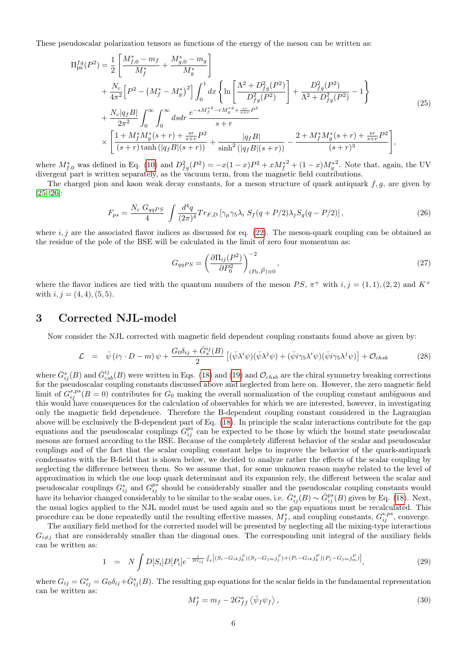These pseudoscalar polarization tensors as functions of the energy of the meson can be written as:

$$
\Pi_{\rm ps}^{fg}(P^2) = \frac{1}{2} \left[ \frac{M_{f,0}^* - m_f}{M_f^*} + \frac{M_{g,0}^* - m_g}{M_g^*} \right] \n+ \frac{N_c}{4\pi^2} \left[ P^2 - \left( M_f^* - M_g^* \right)^2 \right] \int_0^1 dx \left\{ \ln \left[ \frac{\Lambda^2 + D_{fg}^2(P^2)}{D_{fg}^2(P^2)} \right] + \frac{D_{fg}^2(P^2)}{\Lambda^2 + D_{fg}^2(P^2)} - 1 \right\} \n+ \frac{N_c|q_fB|}{2\pi^2} \int_0^\infty \int_0^\infty ds dr \frac{e^{-sM_f^*2 - rM_g^{*2} + \frac{sr}{s+r}P^2}}{s+r} \n\times \left[ \frac{1 + M_f^*M_g^*(s+r) + \frac{sr}{s+r}P^2}{(s+r)\tanh\left(|q_fB|(s+r)\right)} + \frac{|q_fB|}{\sinh^2\left(|q_fB|(s+r)\right)} - \frac{2 + M_f^*M_g^*(s+r) + \frac{sr}{s+r}P^2}{(s+r)^3} \right],
$$
\n(25)

where  $M_{f,0}^*$  was defined in Eq. [\(10\)](#page-3-0) and  $D_{fg}^2(P^2) = -x(1-x)P^2 + xM_f^{*2} + (1-x)M_g^{*2}$ . Note that, again, the UV divergent part is written separately, as the vacuum term, from the magnetic field contributions.

The charged pion and kaon weak decay constants, for a meson structure of quark antiquark  $f, g$ , are given by [\[25,](#page-19-1) [26\]](#page-19-2):

$$
F_{ps} = \frac{N_c G_{qqPS}}{4} \int \frac{d^4q}{(2\pi)^4} Tr_{F,D} \left[ \gamma_\mu \gamma_5 \lambda_i \ S_f(q + P/2) \lambda_j S_g(q - P/2) \right],\tag{26}
$$

where  $i, j$  are the associated flavor indices as discussed for eq. [\(22\)](#page-4-0). The meson-quark coupling can be obtained as the residue of the pole of the BSE will be calculated in the limit of zero four momentum as:

$$
G_{qqPS} = \left(\frac{\partial \Pi_{ij}(P^2)}{\partial P_0^2}\right)_{(P_0, \vec{P}) \equiv 0}^{-2},\tag{27}
$$

where the flavor indices are tied with the quantum numbers of the meson  $PS$ ,  $\pi^+$  with  $i, j = (1, 1), (2, 2)$  and  $K^+$ with  $i, j = (4, 4), (5, 5)$ .

### <span id="page-5-0"></span>3 Corrected NJL-model

.<br>"

Now consider the NJL corrected with magnetic field dependent coupling constants found above as given by:

$$
\mathcal{L} = \bar{\psi} \left( i\gamma \cdot D - m \right) \psi + \frac{G_0 \delta_{ij} + \bar{G}_s^{ij}(B)}{2} \left[ (\bar{\psi} \lambda^i \psi)(\bar{\psi} \lambda^j \psi) + (\bar{\psi} i\gamma_5 \lambda^i \psi)(\bar{\psi} i\gamma_5 \lambda^j \psi) \right] + \mathcal{O}_{chsb} \tag{28}
$$

where  $\bar{G}_{ij}^s(B)$  and  $\bar{G}_{csb}^{ij}(B)$  were written in Eqs. [\(18\)](#page-4-1) and [\(19\)](#page-4-2) and  $\mathcal{O}_{chsb}$  are the chiral symmetry breaking corrections for the pseudoscalar coupling constants discussed above and neglected from here on. However, the zero magnetic field limit of  $G_{ij}^{s,ps}(B=0)$  contributes for  $G_0$  making the overall normalization of the coupling constant ambiguous and this would have consequences for the calculation of observables for which we are interested, however, in investigating only the magnetic field dependence. Therefore the B-dependent coupling constant considered in the Lagrangian above will be exclusively the B-dependent part of Eq. [\(18\)](#page-4-1). In principle the scalar interactions contribute for the gap equations and the pseudoscalar couplings  $G_{ij}^{ps}$  can be expected to be those by which the bound state pseudoscalar mesons are formed according to the BSE. Because of the completely different behavior of the scalar and pseudoscalar couplings and of the fact that the scalar coupling constant helps to improve the behavior of the quark-antiquark condensates with the B-field that is shown below, we decided to analyze rather the effects of the scalar coupling by neglecting the difference between them. So we assume that, for some unknown reason maybe related to the level of approximation in which the one loop quark determinant and its expansion rely, the different between the scalar and pseudoscalar couplings  $G_{ij}^s$  and  $G_{ij}^{ps}$  should be considerably smaller and the pseudoscalar coupling constants would have its behavior changed considerably to be similar to the scalar ones, i.e.  $\bar{G}_{ij}^s(B) \sim \bar{G}_{ij}^{ps}(B)$  given by Eq. [\(18\)](#page-4-1). Next, the usual logics applied to the NJL model must be used again and so the gap equations must be recalculated. This procedure can be done repeatedly until the resulting effective masses,  $M_f^*$ , and coupling constants,  $G_{ij}^{s,ps}$ , converge.

The auxiliary field method for the corrected model will be presented by neglecting all the mixing-type interactions  $G_{i\neq j}$  that are considerably smaller than the diagonal ones. The corresponding unit integral of the auxiliary fields can be written as:

$$
1 = N \int D[S_i]D[P_i]e^{-\frac{i}{2G_{ij}}} f_x[(S_i - G_{ik}j_k^S)(S_j - G_{jm}j_j^S) + (P_i - G_{ik}j_k^P)(P_j - G_{jm}j_m^P)], \qquad (29)
$$

where  $G_{ij} = G_{ij}^s = G_0 \delta_{ij} + \bar{G}_{ij}^s(B)$ . The resulting gap equations for the scalar fields in the fundamental representation can be written as:

<span id="page-5-1"></span>
$$
M_f^* = m_f - 2G_{ff}^s \langle \bar{\psi}_f \psi_f \rangle, \qquad (30)
$$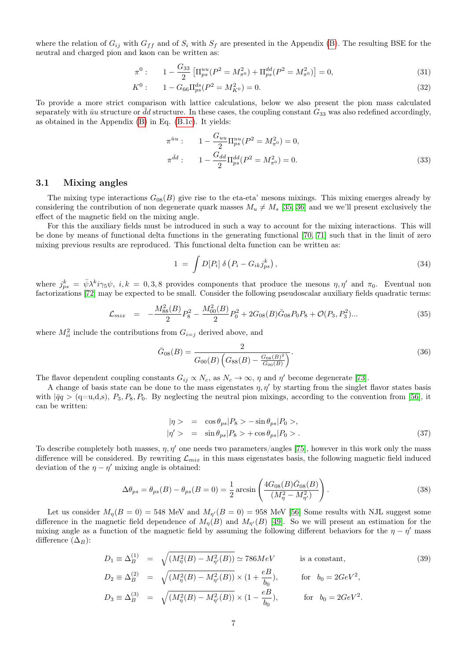where the relation of  $G_{ij}$  with  $G_{ff}$  and of  $S_i$  with  $S_f$  are presented in the Appendix [\(B\)](#page-17-0). The resulting BSE for the neutral and charged pion and kaon can be written as:

<span id="page-6-0"></span>
$$
\pi^{0}: \qquad 1 - \frac{G_{33}}{2} \left[ \Pi_{ps}^{uu} (P^{2} = M_{\pi^{0}}^{2}) + \Pi_{ps}^{dd} (P^{2} = M_{\pi^{0}}^{2}) \right] = 0, \tag{31}
$$

$$
K^{0}: \t 1 - G_{66} \Pi_{ps}^{ds}(P^{2} = M_{K^{0}}^{2}) = 0.
$$
\t(32)

To provide a more strict comparison with lattice calculations, below we also present the pion mass calculated separately with  $\bar{u}u$  structure or  $\bar{d}d$  structure. In these cases, the coupling constant  $G_{33}$  was also redefined accordingly, as obtained in the Appendix [\(B\)](#page-17-0) in Eq. [\(B.1c\)](#page-17-1). It yields:

<span id="page-6-1"></span>
$$
\pi^{\bar{u}u}: \qquad 1 - \frac{G_{uu}}{2} \Pi_{ps}^{uu}(P^2 = M_{\pi^0}^2) = 0,
$$
  

$$
\pi^{\bar{d}d}: \qquad 1 - \frac{G_{dd}}{2} \Pi_{ps}^{dd}(P^2 = M_{\pi^0}^2) = 0.
$$
 (33)

#### 3.1 Mixing angles

The mixing type interactions  $G_{08}(B)$  give rise to the eta-eta' mesons mixings. This mixing emerges already by considering the contribution of non degenerate quark masses  $M_u \neq M_s$  [\[35,](#page-19-11) [36\]](#page-19-12) and we we'll present exclusively the effect of the magnetic field on the mixing angle.

For this the auxiliary fields must be introduced in such a way to account for the mixing interactions. This will be done by means of functional delta functions in the generating functional [\[70,](#page-20-22) [71\]](#page-20-23) such that in the limit of zero mixing previous results are reproduced. This functional delta function can be written as:

$$
1 = \int D[P_i] \delta(P_i - G_{ik}j_{ps}^k), \qquad (34)
$$

where  $j_{ps}^k = \bar{\psi} \lambda^k i \gamma_5 \psi$ ,  $i, k = 0, 3, 8$  provides components that produce the mesons  $\eta, \eta'$  and  $\pi_0$ . Eventual non factorizations [\[72\]](#page-20-24) may be expected to be small. Consider the following pseudoscalar auxiliary fields quadratic terms:

$$
\mathcal{L}_{mix} = -\frac{M_{88}^2(B)}{2}P_8^2 - \frac{M_{00}^2(B)}{2}P_0^2 + 2G_{08}(B)\bar{G}_{08}P_0P_8 + \mathcal{O}(P_3, P_3^2) \dots \tag{35}
$$

where  $M_{ii}^2$  include the contributions from  $G_{i=j}$  derived above, and

$$
\bar{G}_{08}(B) = \frac{2}{G_{00}(B)\left(G_{88}(B) - \frac{G_{08}(B)^2}{G_{00}(B)}\right)}.\tag{36}
$$

The flavor dependent coupling constants  $G_{ij} \propto N_c$ , as  $N_c \to \infty$ ,  $\eta$  and  $\eta'$  become degenerate [\[73\]](#page-21-0).

A change of basis state can be done to the mass eigenstates  $\eta$ ,  $\eta'$  by starting from the singlet flavor states basis with  $|\bar{q}q > (q=u,d,s), P_3, P_8, P_0$ . By neglecting the neutral pion mixings, according to the convention from [\[56\]](#page-20-8), it can be written:

$$
|\eta\rangle = \cos \theta_{ps} |P_8\rangle - \sin \theta_{ps} |P_0\rangle,
$$
  

$$
|\eta'\rangle = \sin \theta_{ps} |P_8\rangle + \cos \theta_{ps} |P_0\rangle.
$$
 (37)

To describe completely both masses,  $\eta$ ,  $\eta'$  one needs two parameters/angles [\[75\]](#page-21-1), however in this work only the mass difference will be considered. By rewriting  $\mathcal{L}_{mix}$  in this mass eigenstates basis, the following magnetic field induced deviation of the  $\eta - \eta'$  mixing angle is obtained:

<span id="page-6-2"></span>
$$
\Delta \theta_{ps} = \theta_{ps}(B) - \theta_{ps}(B = 0) = \frac{1}{2} \arcsin\left(\frac{4G_{08}(B)\bar{G}_{08}(B)}{(M_{\eta}^2 - M_{\eta'}^2)}\right).
$$
\n(38)

Let us consider  $M_{\eta}(B=0) = 548$  MeV and  $M_{\eta'}(B=0) = 958$  MeV [\[56\]](#page-20-8) Some results with NJL suggest some difference in the magnetic field dependence of  $M_{\eta}(B)$  and  $M_{\eta'}(B)$  [\[49\]](#page-20-2). So we will present an estimation for the mixing angle as a function of the magnetic field by assuming the following different behaviors for the  $\eta - \eta'$  mass difference  $(\Delta_B)$ :

<span id="page-6-3"></span>
$$
D_1 \equiv \Delta_B^{(1)} = \sqrt{(M_\eta^2(B) - M_{\eta'}^2(B))} \simeq 786 MeV \qquad \text{is a constant,}
$$
\n
$$
D_2 \equiv \Delta_B^{(2)} = \sqrt{(M_\eta^2(B) - M_{\eta'}^2(B))} \times (1 + \frac{eB}{b_0}), \qquad \text{for} \quad b_0 = 2GeV^2,
$$
\n
$$
D_3 \equiv \Delta_B^{(3)} = \sqrt{(M_\eta^2(B) - M_{\eta'}^2(B))} \times (1 - \frac{eB}{b_0}), \qquad \text{for} \quad b_0 = 2GeV^2.
$$
\n(39)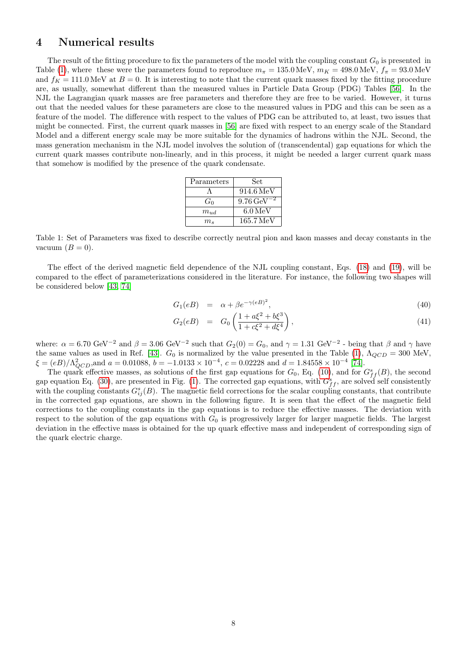### <span id="page-7-0"></span>4 Numerical results

The result of the fitting procedure to fix the parameters of the model with the coupling constant  $G_0$  is presented in Table [\(1\)](#page-7-1), where these were the parameters found to reproduce  $m_{\pi} = 135.0 \text{ MeV}$ ,  $m_K = 498.0 \text{ MeV}$ ,  $f_{\pi} = 93.0 \text{ MeV}$ and  $f_K = 111.0 \text{ MeV}$  at  $B = 0$ . It is interesting to note that the current quark masses fixed by the fitting procedure are, as usually, somewhat different than the measured values in Particle Data Group (PDG) Tables [\[56\]](#page-20-8). In the NJL the Lagrangian quark masses are free parameters and therefore they are free to be varied. However, it turns out that the needed values for these parameters are close to the measured values in PDG and this can be seen as a feature of the model. The difference with respect to the values of PDG can be attributed to, at least, two issues that might be connected. First, the current quark masses in [\[56\]](#page-20-8) are fixed with respect to an energy scale of the Standard Model and a different energy scale may be more suitable for the dynamics of hadrons within the NJL. Second, the mass generation mechanism in the NJL model involves the solution of (transcendental) gap equations for which the current quark masses contribute non-linearly, and in this process, it might be needed a larger current quark mass that somehow is modified by the presence of the quark condensate.

| Parameters  | Set                    |
|-------------|------------------------|
|             | $914.6\,\mathrm{MeV}$  |
| $G_0$       | $9.76 \,\text{GeV}$    |
| $m_{ud}$    | $6.0\,\mathrm{MeV}$    |
| $m_\bullet$ | $165.7 \,\mathrm{MeV}$ |

<span id="page-7-1"></span>Table 1: Set of Parameters was fixed to describe correctly neutral pion and kaon masses and decay constants in the vacuum  $(B = 0)$ .

The effect of the derived magnetic field dependence of the NJL coupling constant, Eqs. [\(18\)](#page-4-1) and [\(19\)](#page-4-2), will be compared to the effect of parameterizations considered in the literature. For instance, the following two shapes will be considered below [\[43,](#page-19-19) [74\]](#page-21-2)

<span id="page-7-2"></span>
$$
G_1(eB) = \alpha + \beta e^{-\gamma(eB)^2}, \tag{40}
$$

$$
G_2(eB) = G_0 \left( \frac{1 + a\xi^2 + b\xi^3}{1 + c\xi^2 + d\xi^4} \right), \tag{41}
$$

where:  $\alpha = 6.70 \text{ GeV}^{-2}$  and  $\beta = 3.06 \text{ GeV}^{-2}$  such that  $G_2(0) = G_0$ , and  $\gamma = 1.31 \text{ GeV}^{-2}$  - being that  $\beta$  and  $\gamma$  have the same values as used in Ref. [\[43\]](#page-19-19).  $G_0$  is normalized by the value presented in the Table [\(1\)](#page-7-1),  $\Lambda_{QCD} = 300$  MeV,  $\xi = (eB)/\Lambda_{QCD}^2$ , and  $a = 0.01088$ ,  $b = -1.0133 \times 10^{-4}$ ,  $c = 0.02228$  and  $d = 1.84558 \times 10^{-4}$  [\[74\]](#page-21-2).

The quark effective masses, as solutions of the first gap equations for  $G_0$ , Eq. [\(10\)](#page-3-0), and for  $G_{ff}^s(B)$ , the second gap equation Eq. [\(30\)](#page-5-1), are presented in Fig. [\(1\)](#page-8-0). The corrected gap equations, with  $G_{ff}^s$ , are solved self consistently with the coupling constants  $G_{ij}^s(B)$ . The magnetic field corrections for the scalar coupling constants, that contribute in the corrected gap equations, are shown in the following figure. It is seen that the effect of the magnetic field corrections to the coupling constants in the gap equations is to reduce the effective masses. The deviation with respect to the solution of the gap equations with  $G_0$  is progressively larger for larger magnetic fields. The largest deviation in the effective mass is obtained for the up quark effective mass and independent of corresponding sign of the quark electric charge.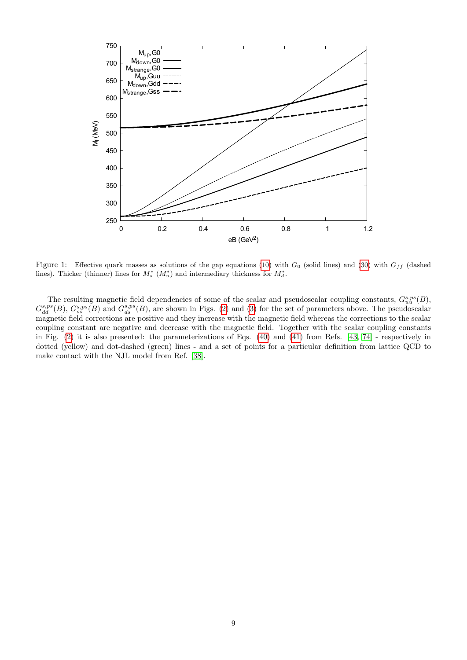<span id="page-8-0"></span>

Figure 1: Effective quark masses as solutions of the gap equations [\(10\)](#page-3-0) with  $G_0$  (solid lines) and [\(30\)](#page-5-1) with  $G_{ff}$  (dashed lines). Thicker (thinner) lines for  $M_s^*$   $(M_u^*)$  and intermediary thickness for  $M_d^*$ .

The resulting magnetic field dependencies of some of the scalar and pseudoscalar coupling constants,  $G_{uu}^{s,ps}(B)$ ,  $G_{dd}^{s,ps}(B)$ ,  $G_{ss}^{s,ps}(B)$  and  $G_{ds}^{s,ps}(B)$ , are shown in Figs. [\(2\)](#page-9-0) and [\(3\)](#page-9-1) for the set of parameters above. The pseudoscalar magnetic field corrections are positive and they increase with the magnetic field whereas the corrections to the scalar coupling constant are negative and decrease with the magnetic field. Together with the scalar coupling constants in Fig. [\(2\)](#page-9-0) it is also presented: the parameterizations of Eqs. [\(40\)](#page-7-2) and [\(41\)](#page-7-2) from Refs. [\[43,](#page-19-19) [74\]](#page-21-2) - respectively in dotted (yellow) and dot-dashed (green) lines - and a set of points for a particular definition from lattice QCD to make contact with the NJL model from Ref. [\[38\]](#page-19-14).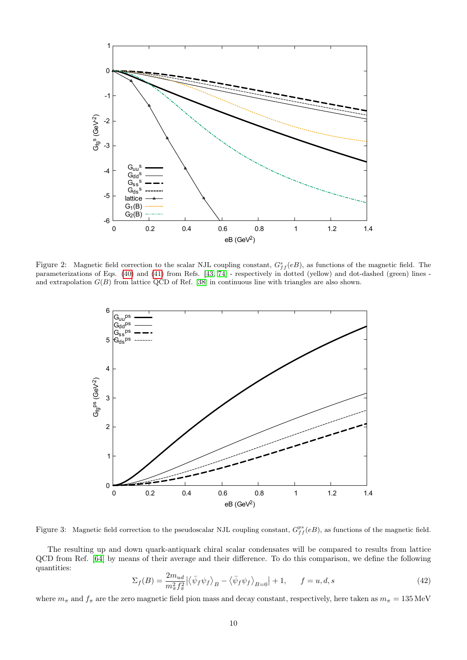<span id="page-9-0"></span>

<span id="page-9-1"></span>Figure 2: Magnetic field correction to the scalar NJL coupling constant,  $G_{ff}^s(eB)$ , as functions of the magnetic field. The parameterizations of Eqs. [\(40\)](#page-7-2) and [\(41\)](#page-7-2) from Refs. [\[43,](#page-19-19) [74\]](#page-21-2) - respectively in dotted (yellow) and dot-dashed (green) lines and extrapolation  $G(B)$  from lattice QCD of Ref. [\[38\]](#page-19-14) in continuous line with triangles are also shown.



Figure 3: Magnetic field correction to the pseudoscalar NJL coupling constant,  $G_{ff}^{ps}(eB)$ , as functions of the magnetic field.

The resulting up and down quark-antiquark chiral scalar condensates will be compared to results from lattice QCD from Ref. [\[64\]](#page-20-16) by means of their average and their difference. To do this comparison, we define the following quantities:

<span id="page-9-2"></span>
$$
\Sigma_f(B) = \frac{2m_{ud}}{m_{\pi}^2 f_{\pi}^2} \left| \left\langle \bar{\psi}_f \psi_f \right\rangle_B - \left\langle \bar{\psi}_f \psi_f \right\rangle_{B=0} \right| + 1, \qquad f = u, d, s \tag{42}
$$

where  $m_{\pi}$  and  $f_{\pi}$  are the zero magnetic field pion mass and decay constant, respectively, here taken as  $m_{\pi} = 135 \text{ MeV}$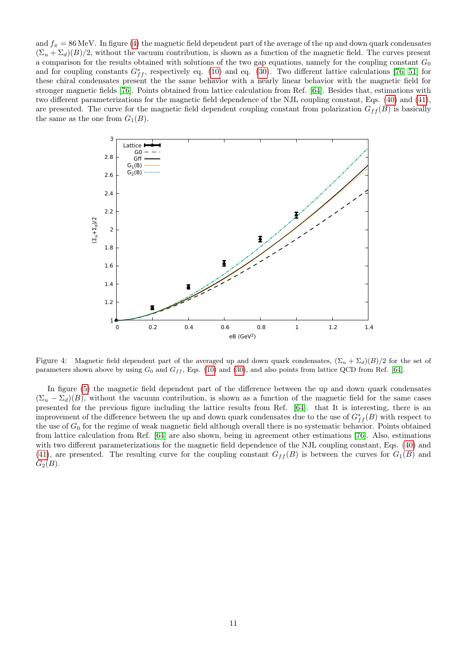and  $f_{\pi} = 86$  MeV. In figure [\(4\)](#page-10-0) the magnetic field dependent part of the average of the up and down quark condensates  $(\Sigma_u + \Sigma_d)(B)/2$ , without the vacuum contribution, is shown as a function of the magnetic field. The curves present a comparison for the results obtained with solutions of the two gap equations, namely for the coupling constant  $G_0$ and for coupling constants  $G_{ff}^s$ , respectively eq. [\(10\)](#page-3-0) and eq. [\(30\)](#page-5-1). Two different lattice calculations [\[76,](#page-21-3) [51\]](#page-20-4) for these chiral condensates present the the same behavior with a nearly linear behavior with the magnetic field for stronger magnetic fields [\[76\]](#page-21-3). Points obtained from lattice calculation from Ref. [\[64\]](#page-20-16). Besides that, estimations with two different parameterizations for the magnetic field dependence of the NJL coupling constant, Eqs. [\(40\)](#page-7-2) and [\(41\)](#page-7-2), are presented. The curve for the magnetic field dependent coupling constant from polarization  $G_{ff}(B)$  is basically the same as the one from  $G_1(B)$ .

<span id="page-10-0"></span>

Figure 4: Magnetic field dependent part of the averaged up and down quark condensates,  $(\Sigma_u + \Sigma_d)(B)/2$  for the set of parameters shown above by using  $G_0$  and  $G_{ff}$ , Eqs. [\(10\)](#page-3-0) and [\(30\)](#page-5-1), and also points from lattice QCD from Ref. [\[64\]](#page-20-16).

In figure [\(5\)](#page-11-0) the magnetic field dependent part of the difference between the up and down quark condensates  $(\Sigma_u - \Sigma_d)(B)$ , without the vacuum contribution, is shown as a function of the magnetic field for the same cases presented for the previous figure including the lattice results from Ref. [\[64\]](#page-20-16). that It is interesting, there is an improvement of the difference between the up and down quark condensates due to the use of  $G_{ff}^s(B)$  with respect to the use of  $G_0$  for the regime of weak magnetic field although overall there is no systematic behavior. Points obtained from lattice calculation from Ref. [\[64\]](#page-20-16) are also shown, being in agreement other estimations [\[76\]](#page-21-3). Also, estimations with two different parameterizations for the magnetic field dependence of the NJL coupling constant, Eqs. [\(40\)](#page-7-2) and [\(41\)](#page-7-2), are presented. The resulting curve for the coupling constant  $G_{ff}(B)$  is between the curves for  $G_1(B)$  and  $G<sub>2</sub>(B)$ .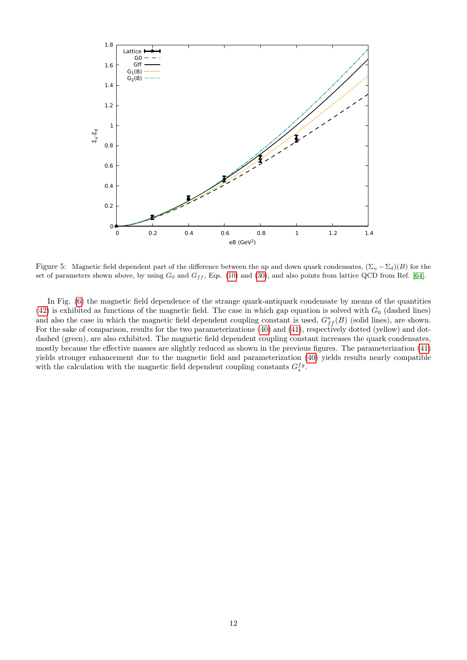<span id="page-11-0"></span>

Figure 5: Magnetic field dependent part of the difference between the up and down quark condensates,  $(\Sigma_u - \Sigma_d)(B)$  for the set of parameters shown above, by using  $G_0$  and  $G_{ff}$ , Eqs. [\(10\)](#page-3-0) and [\(30\)](#page-5-1), and also points from lattice QCD from Ref. [\[64\]](#page-20-16).

In Fig. [\(6\)](#page-12-0) the magnetic field dependence of the strange quark-antiquark condensate by means of the quantities [\(42\)](#page-9-2) is exhibited as functions of the magnetic field. The case in which gap equation is solved with  $G_0$  (dashed lines) and also the case in which the magnetic field dependent coupling constant is used,  $G_{ff}^s(B)$  (solid lines), are shown. For the sake of comparison, results for the two parameterizations [\(40\)](#page-7-2) and [\(41\)](#page-7-2), respectively dotted (yellow) and dotdashed (green), are also exhibited. The magnetic field dependent coupling constant increases the quark condensates, mostly because the effective masses are slightly reduced as shown in the previous figures. The parameterization [\(41\)](#page-7-2) yields stronger enhancement due to the magnetic field and parameterization [\(40\)](#page-7-2) yields results nearly compatible with the calculation with the magnetic field dependent coupling constants  $G_s^{fg}$ .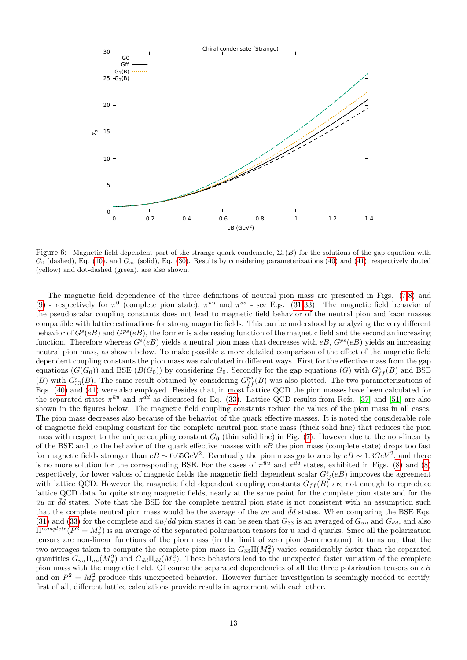<span id="page-12-0"></span>

Figure 6: Magnetic field dependent part of the strange quark condensate,  $\Sigma_s(B)$  for the solutions of the gap equation with  $G_0$  (dashed), Eq. [\(10\)](#page-3-0), and  $G_{ss}$  (solid), Eq. [\(30\)](#page-5-1). Results by considering parameterizations [\(40\)](#page-7-2) and [\(41\)](#page-7-2), respectively dotted (yellow) and dot-dashed (green), are also shown.

The magnetic field dependence of the three definitions of neutral pion mass are presented in Figs. [\(7,](#page-13-0)[8\)](#page-13-1) and [\(9\)](#page-14-0) - respectively for  $\pi^0$  (complete pion state),  $\pi^{uu}$  and  $\pi^{dd}$  - see Eqs. [\(31-](#page-6-0)[33\)](#page-6-1). The magnetic field behavior of the pseudoscalar coupling constants does not lead to magnetic field behavior of the neutral pion and kaon masses compatible with lattice estimations for strong magnetic fields. This can be understood by analyzing the very different behavior of  $G^s(eB)$  and  $G^{ps}(eB)$ , the former is a decreasing function of the magnetic field and the second an increasing function. Therefore whereas  $G^{s}(eB)$  yields a neutral pion mass that decreases with  $eB$ ,  $G^{ps}(eB)$  yields an increasing neutral pion mass, as shown below. To make possible a more detailed comparison of the effect of the magnetic field dependent coupling constants the pion mass was calculated in different ways. First for the effective mass from the gap equations  $(G(G_0))$  and BSE  $(B(G_0))$  by considering  $G_0$ . Secondly for the gap equations  $(G)$  with  $G_{ff}^s(B)$  and BSE (B) with  $G_{33}^s(B)$ . The same result obtained by considering  $G_{ff}^{ps}(B)$  was also plotted. The two parameterizations of Eqs. [\(40\)](#page-7-2) and [\(41\)](#page-7-2) were also employed. Besides that, in most Lattice QCD the pion masses have been calculated for the separated states  $\pi^{\bar{u}u}$  and  $\pi^{\bar{d}d}$  as discussed for Eq. [\(33\)](#page-6-1). Lattice QCD results from Refs. [\[37\]](#page-19-13) and [\[51\]](#page-20-4) are also shown in the figures below. The magnetic field coupling constants reduce the values of the pion mass in all cases. The pion mass decreases also because of the behavior of the quark effective masses. It is noted the considerable role of magnetic field coupling constant for the complete neutral pion state mass (thick solid line) that reduces the pion mass with respect to the unique coupling constant  $G_0$  (thin solid line) in Fig. [\(7\)](#page-13-0). However due to the non-linearity of the BSE and to the behavior of the quark effective masses with  $eB$  the pion mass (complete state) drops too fast for magnetic fields stronger than  $eB \sim 0.65$ GeV<sup>2</sup>. Eventually the pion mass go to zero by  $eB \sim 1.3 GeV^2$ , and there is no more solution for the corresponding BSE. For the cases of  $\pi^{\bar{u}u}$  and  $\pi^{\bar{d}d}$  states, exhibited in Figs. [\(8\)](#page-13-1) and (8) respectively, for lower values of magnetic fields the magnetic field dependent scalar  $G_{ij}^s(eB)$  improves the agreement with lattice QCD. However the magnetic field dependent coupling constants  $G_{ff}(B)$  are not enough to reproduce lattice QCD data for quite strong magnetic fields, nearly at the same point for the complete pion state and for the  $\bar{u}u$  or  $\bar{d}d$  states. Note that the BSE for the complete neutral pion state is not consistent with an assumption such that the complete neutral pion mass would be the average of the  $\bar{u}u$  and  $\bar{d}d$  states. When comparing the BSE Eqs. [\(31\)](#page-6-0) and [\(33\)](#page-6-1) for the complete and  $\bar{u}u/\bar{d}d$  pion states it can be seen that  $G_{33}$  is an averaged of  $G_{uu}$  and  $G_{dd}$ , and also  $\Pi^{complete}(P^2 = M_{\pi}^2)$  is an average of the separated polarization tensors for u and d quarks. Since all the polarization tensors are non-linear functions of the pion mass (in the limit of zero pion 3-momentum), it turns out that the two averages taken to compute the complete pion mass in  $G_{33} \Pi(M_\pi^2)$  varies considerably faster than the separated quantities  $G_{uu}\Pi_{uu}(M_{\pi}^2)$  and  $G_{dd}\Pi_{dd}(M_{\pi}^2)$ . These behaviors lead to the unexpected faster variation of the complete pion mass with the magnetic field. Of course the separated dependencies of all the three polarization tensors on  $eB$ and on  $P^2 = M_{\pi}^2$  produce this unexpected behavior. However further investigation is seemingly needed to certify, first of all, different lattice calculations provide results in agreement with each other.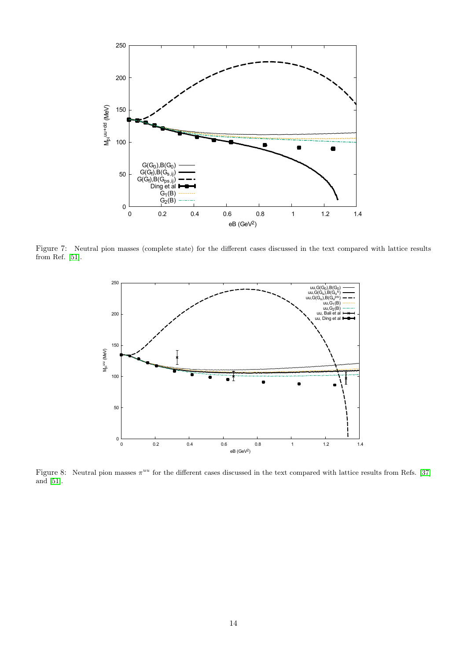<span id="page-13-0"></span>

<span id="page-13-1"></span>Figure 7: Neutral pion masses (complete state) for the different cases discussed in the text compared with lattice results from Ref. [\[51\]](#page-20-4).



Figure 8: Neutral pion masses  $\pi^{uu}$  for the different cases discussed in the text compared with lattice results from Refs. [\[37\]](#page-19-13) and [\[51\]](#page-20-4).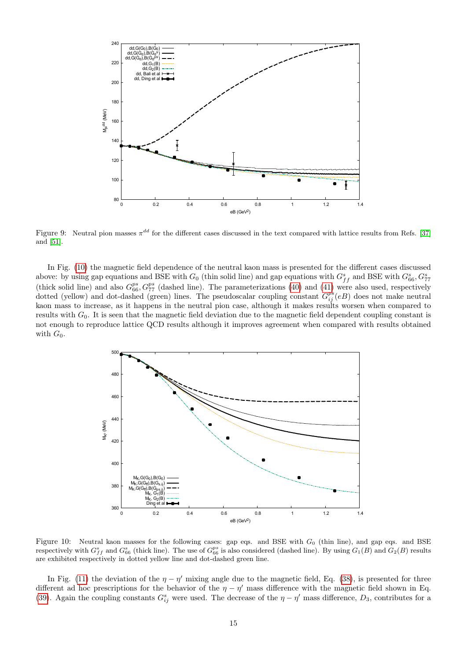<span id="page-14-0"></span>

Figure 9: Neutral pion masses  $\pi^{dd}$  for the different cases discussed in the text compared with lattice results from Refs. [\[37\]](#page-19-13) and [\[51\]](#page-20-4).

In Fig. [\(10\)](#page-14-1) the magnetic field dependence of the neutral kaon mass is presented for the different cases discussed above: by using gap equations and BSE with  $G_0$  (thin solid line) and gap equations with  $G_{ff}^s$  and BSE with  $G_{66}^s, G_{77}^s$ (thick solid line) and also  $G_{66}^{ps}$ ,  $G_{77}^{ps}$  (dashed line). The parameterizations [\(40\)](#page-7-2) and [\(41\)](#page-7-2) were also used, respectively dotted (yellow) and dot-dashed (green) lines. The pseudoscalar coupling constant  $G_{ij}^{ps}(eB)$  does not make neutral kaon mass to increase, as it happens in the neutral pion case, although it makes results worsen when compared to results with  $G_0$ . It is seen that the magnetic field deviation due to the magnetic field dependent coupling constant is not enough to reproduce lattice QCD results although it improves agreement when compared with results obtained with  $G_0$ .

<span id="page-14-1"></span>

Figure 10: Neutral kaon masses for the following cases: gap eqs. and BSE with  $G_0$  (thin line), and gap eqs. and BSE respectively with  $G_{ff}^s$  and  $G_{66}^s$  (thick line). The use of  $G_{66}^{ps}$  is also considered (dashed line). By using  $G_1(B)$  and  $G_2(B)$  results are exhibited respectively in dotted yellow line and dot-dashed green line.

In Fig. [\(11\)](#page-15-1) the deviation of the  $\eta - \eta'$  mixing angle due to the magnetic field, Eq. [\(38\)](#page-6-2), is presented for three different ad hoc prescriptions for the behavior of the  $\eta - \eta'$  mass difference with the magnetic field shown in Eq. [\(39\)](#page-6-3). Again the coupling constants  $G_{ij}^s$  were used. The decrease of the  $\eta-\eta'$  mass difference,  $D_3$ , contributes for a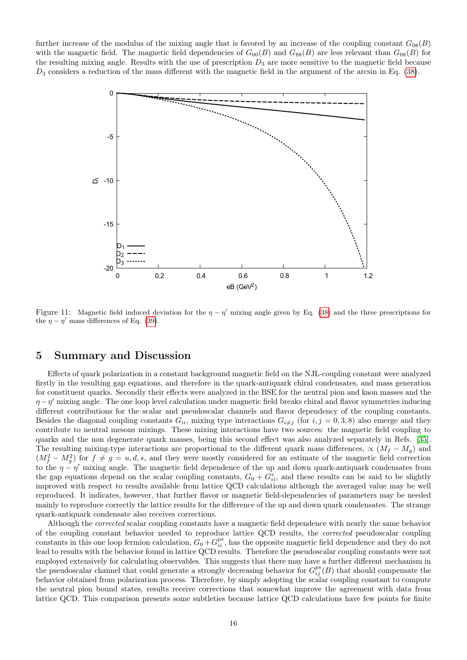<span id="page-15-1"></span>further increase of the modulus of the mixing angle that is favored by an increase of the coupling constant  $G_{08}(B)$ with the magnetic field. The magnetic field dependencies of  $G_{00}(B)$  and  $G_{88}(B)$  are less relevant than  $G_{08}(B)$  for the resulting mixing angle. Results with the use of prescription  $D_3$  are more sensitive to the magnetic field because  $D_3$  considers a reduction of the mass different with the magnetic field in the argument of the arcsin in Eq. [\(38\)](#page-6-2).



Figure 11: Magnetic field induced deviation for the  $\eta - \eta'$  mixing angle given by Eq. [\(38\)](#page-6-2) and the three prescriptions for the  $\eta - \eta'$  mass differences of Eq. [\(39\)](#page-6-3).

### <span id="page-15-0"></span>5 Summary and Discussion

Effects of quark polarization in a constant background magnetic field on the NJL-coupling constant were analyzed firstly in the resulting gap equations, and therefore in the quark-antiquark chiral condensates, and mass generation for constituent quarks. Secondly their effects were analyzed in the BSE for the neutral pion and kaon masses and the  $\eta - \eta'$  mixing angle. The one loop level calculation under magnetic field breaks chiral and flavor symmetries inducing different contributions for the scalar and pseudoscalar channels and flavor dependency of the coupling constants. Besides the diagonal coupling constants  $G_{ii}$ , mixing type interactions  $G_{i\neq j}$  (for  $i, j = 0, 3, 8$ ) also emerge and they contribute to neutral mesons mixings. These mixing interactions have two sources: the magnetic field coupling to quarks and the non degenerate quark masses, being this second effect was also analyzed separately in Refs. [\[35\]](#page-19-11). The resulting mixing-type interactions are proportional to the different quark mass differences,  $\propto (M_f - M_g)$  and  $(M_f^2 - M_g^2)$  for  $f \neq g = u, d, s$ , and they were mostly considered for an estimate of the magnetic field correction to the  $\eta - \eta'$  mixing angle. The magnetic field dependence of the up and down quark-antiquark condensates from the gap equations depend on the scalar coupling constants,  $G_0 + G_{ii}^s$ , and these results can be said to be slightly improved with respect to results available from lattice QCD calculations although the averaged value may be well reproduced. It indicates, however, that further flavor or magnetic field-dependencies of parameters may be needed mainly to reproduce correctly the lattice results for the difference of the up and down quark condensates. The strange quark-antiquark condensate also receives corrections.

Although the *corrected* scalar coupling constants have a magnetic field dependence with nearly the same behavior of the coupling constant behavior needed to reproduce lattice QCD results, the corrected pseudoscalar coupling constants in this one loop fermion calculation,  $G_0 + G_{ii}^{ps}$ , has the opposite magnetic field dependence and they do not lead to results with the behavior found in lattice QCD results. Therefore the pseudoscalar coupling constants were not employed extensively for calculating observables. This suggests that there may have a further different mechanism in the pseudoscalar channel that could generate a strongly decreasing behavior for  $G_{ij}^{ps}(B)$  that should compensate the behavior obtained from polarization process. Therefore, by simply adopting the scalar coupling constant to compute the neutral pion bound states, results receive corrections that somewhat improve the agreement with data from lattice QCD. This comparison presents some subtleties because lattice QCD calculations have few points for finite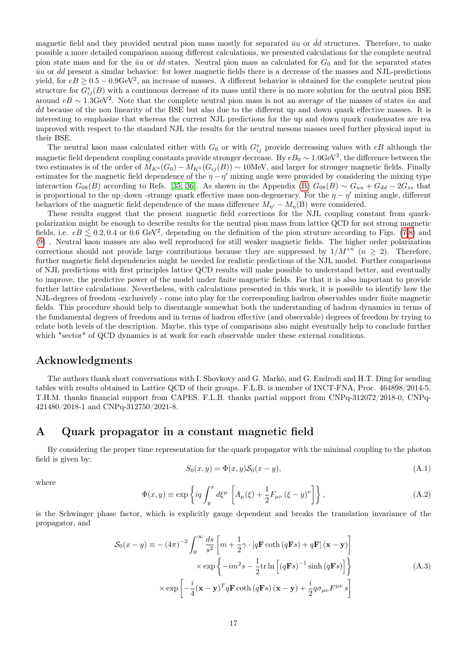magnetic field and they provided neutral pion mass mostly for separated  $\bar{u}u$  or  $\bar{d}d$  structures. Therefore, to make possible a more detailed comparison among different calculations, we presented calculations for the complete neutral pion state mass and for the  $\bar{u}u$  or  $\bar{d}d$  states. Neutral pion mass as calculated for  $G_0$  and for the separated states  $\bar{u}u$  or  $\bar{d}d$  present a similar behavior: for lower magnetic fields there is a decrease of the masses and NJL-predictions yield, for  $eB \geq 0.5 - 0.9 \text{GeV}^2$ , an increase of masses. A different behavior is obtained for the complete neutral pion structure for  $G_{ij}^s(B)$  with a continuous decrease of its mass until there is no more solution for the neutral pion BSE around  $eB \sim 1.3 \text{GeV}^2$ . Note that the complete neutral pion mass is not an average of the masses of states  $\bar{u}u$  and  $\bar{d}d$  because of the non linearity of the BSE but also due to the different up and down quark effective masses. It is interesting to emphasize that whereas the current NJL predictions for the up and down quark condensates are rea improved with respect to the standard NJL the results for the neutral mesons masses need further physical input in their BSE.

The neutral kaon mass calculated either with  $G_0$  or with  $G_{ij}^s$  provide decreasing values with  $eB$  although the magnetic field dependent coupling constants provide stronger decrease. By  $eB_0 \sim 1.0$ GeV<sup>2</sup>, the difference between the two estimates is of the order of  $M_{K^0}(G_0) - M_{K^0}(G_{ij}(B)) \sim 10$ MeV, and larger for stronger magnetic fields. Finally estimates for the magnetic field dependence of the  $\eta - \eta'$  mixing angle were provided by considering the mixing type interaction  $G_{08}(B)$  $G_{08}(B)$  according to Refs. [\[35,](#page-19-11) [36\]](#page-19-12). As shown in the Appendix (B)  $G_{08}(B) \sim G_{uu} + G_{dd} - 2G_{ss}$  that is proportional to the up/down -strange quark effective mass non-degeneracy. For the  $\eta - \eta'$  mixing angle, different behaviors of the magnetic field dependence of the mass difference  $M_{n'} - M_n(B)$  were considered.

These results suggest that the present magnetic field corrections for the NJL coupling constant from quarkpolarization might be enough to describe results for the neutral pion mass from lattice QCD for not strong magnetic fields, i.e.  $eB \leq 0.2, 0.4$  or 0.6 GeV<sup>2</sup>, depending on the definition of the pion struture according to Figs. [\(7,](#page-13-0)[8\)](#page-13-1) and [\(9\)](#page-14-0) . Neutral kaon masses are also well reproduced for still weaker magnetic fields. The higher order polarization corrections should not provide large contributions because they are suppressed by  $1/M^{n}$   $(n \geq 2)$ . Therefore, further magnetic field dependencies might be needed for realistic predictions of the NJL model. Further comparisons of NJL predictions with first principles lattice QCD results will make possible to understand better, and eventually to improve, the predictive power of the model under finite magnetic fields. For that it is also important to provide further lattice calculations. Nevertheless, with calculations presented in this work, it is possible to identify how the NJL-degrees of freedom -exclusively - come into play for the corresponding hadron observables under finite magnetic fields. This procedure should help to disentangle somewhat both the understanding of hadron dynamics in terms of the fundamental degrees of freedom and in terms of hadron effective (and observable) degrees of freedom by trying to relate both levels of the description. Maybe, this type of comparisons also might eventually help to conclude further which "sector" of QCD dynamics is at work for each observable under these external conditions.

### Acknowledgments

The authors thank short conversations with I. Shovkovy and G. Markó, and G. Endrodi and H.T. Ding for sending tables with results obtained in Lattice QCD of their groups. F.L.B. is member of INCT-FNA, Proc. 464898/2014-5. T.H.M. thanks financial support from CAPES. F.L.B. thanks partial support from CNPq-312072/2018-0, CNPq-421480/2018-1 and CNPq-312750/2021-8.

### <span id="page-16-0"></span>A Quark propagator in a constant magnetic field

By considering the proper time representation for the quark propagator with the minimal coupling to the photon field is given by:

$$
S_0(x, y) = \Phi(x, y)S_0(x - y),\tag{A.1}
$$

where

$$
\Phi(x,y) \equiv \exp\left\{iq \int_y^x d\xi^\mu \left[A_\mu(\xi) + \frac{1}{2}F_{\mu\nu}(\xi - y)^\nu\right]\right\},\tag{A.2}
$$

is the Schwinger phase factor, which is explicitly gauge dependent and breaks the translation invariance of the propagator, and

$$
S_0(x - y) \equiv -(4\pi)^{-2} \int_0^\infty \frac{ds}{s^2} \left[ m + \frac{1}{2} \gamma \cdot \left[ q \mathbf{F} \coth(q\mathbf{F}s) + q \mathbf{F} \right] (\mathbf{x} - \mathbf{y}) \right] \times \exp \left\{ -im^2 s - \frac{1}{2} \text{tr} \ln \left[ (q \mathbf{F}s)^{-1} \sinh(q \mathbf{F}s) \right] \right\} \times \exp \left[ -\frac{i}{4} (\mathbf{x} - \mathbf{y})^T q \mathbf{F} \coth(q \mathbf{F}s) (\mathbf{x} - \mathbf{y}) + \frac{i}{2} q \sigma_{\mu\nu} F^{\mu\nu} s \right]
$$
(A.3)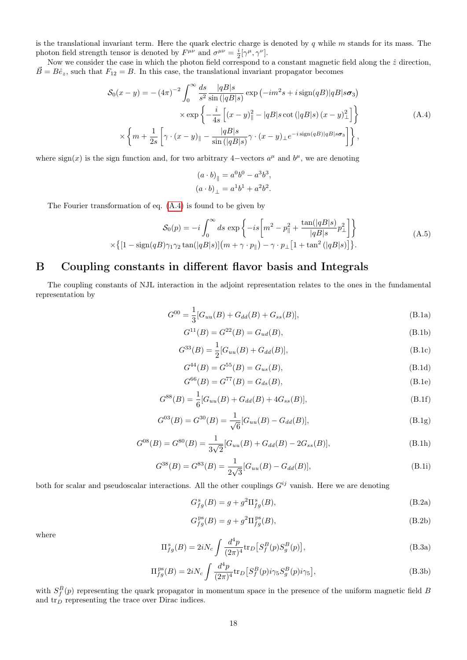is the translational invariant term. Here the quark electric charge is denoted by q while  $m$  stands for its mass. The photon field strength tensor is denoted by  $F^{\mu\nu}$  and  $\sigma^{\mu\nu} = \frac{i}{2} [\gamma^{\mu}, \gamma^{\nu}]$ .

Now we consider the case in which the photon field correspond to a constant magnetic field along the  $\hat{z}$  direction,  $\vec{B} = B\hat{e}_z$ , such that  $F_{12} = B$ . In this case, the translational invariant propagator becomes

$$
S_0(x - y) = -(4\pi)^{-2} \int_0^\infty \frac{ds}{s^2} \frac{|qB|s}{\sin(|qB|s)} \exp\left(-im^2s + i\operatorname{sign}(qB)|qB|s\sigma_3\right)
$$

$$
\times \exp\left\{-\frac{i}{4s}\left[(x - y)_\parallel^2 - |qB|s\cot\left(|qB|s\right)(x - y)_\perp^2\right]\right\}
$$

$$
\times \left\{m + \frac{1}{2s}\left[\gamma \cdot (x - y)_\parallel - \frac{|qB|s}{\sin\left(|qB|s\right)}\gamma \cdot (x - y)_\perp e^{-i\operatorname{sign}(qB)|qB|s\sigma_3}\right]\right\},\tag{A.4}
$$

<span id="page-17-2"></span>where sign(x) is the sign function and, for two arbitrary 4-vectors  $a^{\mu}$  and  $b^{\mu}$ , we are denoting

$$
(a \cdot b)_{\parallel} = a^0 b^0 - a^3 b^3,
$$
  
\n $(a \cdot b)_{\perp} = a^1 b^1 + a^2 b^2.$ 

The Fourier transformation of eq. [\(A.4\)](#page-17-2) is found to be given by

$$
\mathcal{S}_0(p) = -i \int_0^\infty ds \, \exp\left\{-is \left[m^2 - p_\parallel^2 + \frac{\tan(|qB|s)}{|qB|s} p_\perp^2\right]\right\}
$$
  
 
$$
\times \left\{[1 - \text{sign}(qB)\gamma_1\gamma_2 \tan(|qB|s)] \left(m + \gamma \cdot p_\parallel\right) - \gamma \cdot p_\perp \left[1 + \tan^2(|qB|s)\right]\right\}.
$$
 (A.5)

## <span id="page-17-0"></span>B Coupling constants in different flavor basis and Integrals

The coupling constants of NJL interaction in the adjoint representation relates to the ones in the fundamental representation by

$$
G^{00} = \frac{1}{3} [G_{uu}(B) + G_{dd}(B) + G_{ss}(B)],
$$
\n(B.1a)

$$
G^{11}(B) = G^{22}(B) = G_{ud}(B),
$$
\n(B.1b)

<span id="page-17-1"></span>
$$
G^{33}(B) = \frac{1}{2} [G_{uu}(B) + G_{dd}(B)],
$$
\n(B.1c)

$$
G^{44}(B) = G^{55}(B) = G_{us}(B),
$$
\n(B.1d)

$$
G^{66}(B) = G^{77}(B) = G_{ds}(B),
$$
\n(B.1e)

$$
G^{88}(B) = \frac{1}{6} [G_{uu}(B) + G_{dd}(B) + 4G_{ss}(B)],
$$
\n(B.1f)

$$
G^{03}(B) = G^{30}(B) = \frac{1}{\sqrt{6}} [G_{uu}(B) - G_{dd}(B)],
$$
\n(B.1g)

$$
G^{08}(B) = G^{80}(B) = \frac{1}{3\sqrt{2}} [G_{uu}(B) + G_{dd}(B) - 2G_{ss}(B)],
$$
\n(B.1h)

$$
G^{38}(B) = G^{83}(B) = \frac{1}{2\sqrt{3}} [G_{uu}(B) - G_{dd}(B)],
$$
\n(B.1i)

both for scalar and pseudoscalar interactions. All the other couplings  $G^{ij}$  vanish. Here we are denoting

$$
G_{fg}^{\mathrm{s}}(B) = g + g^2 \Pi_{fg}^{\mathrm{s}}(B),\tag{B.2a}
$$

$$
G_{fg}^{\text{ps}}(B) = g + g^2 \Pi_{fg}^{\text{ps}}(B),\tag{B.2b}
$$

where

$$
\Pi_{fg}^{s}(B) = 2iN_c \int \frac{d^4p}{(2\pi)^4} \text{tr}_D \left[ S_f^B(p) S_g^B(p) \right],
$$
\n(B.3a)

$$
\Pi_{fg}^{\text{ps}}(B) = 2iN_c \int \frac{d^4p}{(2\pi)^4} \text{tr}_D \left[ S_f^B(p) i\gamma_5 S_g^B(p) i\gamma_5 \right],\tag{B.3b}
$$

with  $S_f^B(p)$  representing the quark propagator in momentum space in the presence of the uniform magnetic field B and  $\text{tr}_D$  representing the trace over Dirac indices.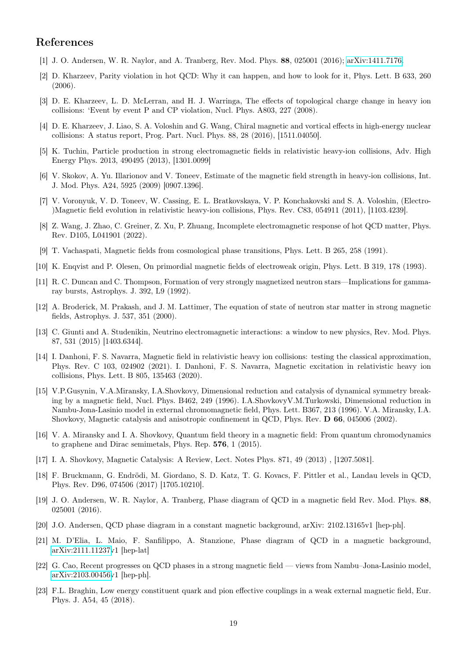### References

- <span id="page-18-0"></span>[1] J. O. Andersen, W. R. Naylor, and A. Tranberg, Rev. Mod. Phys. 88, 025001 (2016); [arXiv:1411.7176.](http://arxiv.org/abs/1411.7176)
- <span id="page-18-1"></span>[2] D. Kharzeev, Parity violation in hot QCD: Why it can happen, and how to look for it, Phys. Lett. B 633, 260 (2006).
- <span id="page-18-2"></span>[3] D. E. Kharzeev, L. D. McLerran, and H. J. Warringa, The effects of topological charge change in heavy ion collisions: 'Event by event P and CP violation, Nucl. Phys. A803, 227 (2008).
- <span id="page-18-3"></span>[4] D. E. Kharzeev, J. Liao, S. A. Voloshin and G. Wang, Chiral magnetic and vortical effects in high-energy nuclear collisions: A status report, Prog. Part. Nucl. Phys. 88, 28 (2016), [1511.04050].
- <span id="page-18-4"></span>[5] K. Tuchin, Particle production in strong electromagnetic fields in relativistic heavy-ion collisions, Adv. High Energy Phys. 2013, 490495 (2013), [1301.0099]
- <span id="page-18-5"></span>[6] V. Skokov, A. Yu. Illarionov and V. Toneev, Estimate of the magnetic field strength in heavy-ion collisions, Int. J. Mod. Phys. A24, 5925 (2009) [0907.1396].
- <span id="page-18-6"></span>[7] V. Voronyuk, V. D. Toneev, W. Cassing, E. L. Bratkovskaya, V. P. Konchakovski and S. A. Voloshin, (Electro- )Magnetic field evolution in relativistic heavy-ion collisions, Phys. Rev. C83, 054911 (2011), [1103.4239].
- <span id="page-18-7"></span>[8] Z. Wang, J. Zhao, C. Greiner, Z. Xu, P. Zhuang, Incomplete electromagnetic response of hot QCD matter, Phys. Rev. D105, L041901 (2022).
- <span id="page-18-8"></span>[9] T. Vachaspati, Magnetic fields from cosmological phase transitions, Phys. Lett. B 265, 258 (1991).
- <span id="page-18-9"></span>[10] K. Enqvist and P. Olesen, On primordial magnetic fields of electroweak origin, Phys. Lett. B 319, 178 (1993).
- <span id="page-18-10"></span>[11] R. C. Duncan and C. Thompson, Formation of very strongly magnetized neutron stars—Implications for gammaray bursts, Astrophys. J. 392, L9 (1992).
- <span id="page-18-11"></span>[12] A. Broderick, M. Prakash, and J. M. Lattimer, The equation of state of neutron star matter in strong magnetic fields, Astrophys. J. 537, 351 (2000).
- <span id="page-18-12"></span>[13] C. Giunti and A. Studenikin, Neutrino electromagnetic interactions: a window to new physics, Rev. Mod. Phys. 87, 531 (2015) [1403.6344].
- <span id="page-18-13"></span>[14] I. Danhoni, F. S. Navarra, Magnetic field in relativistic heavy ion collisions: testing the classical approximation, Phys. Rev. C 103, 024902 (2021). I. Danhoni, F. S. Navarra, Magnetic excitation in relativistic heavy ion collisions, Phys. Lett. B 805, 135463 (2020).
- <span id="page-18-14"></span>[15] V.P.Gusynin, V.A.Miransky, I.A.Shovkovy, Dimensional reduction and catalysis of dynamical symmetry breaking by a magnetic field, Nucl. Phys. B462, 249 (1996). I.A.ShovkovyV.M.Turkowski, Dimensional reduction in Nambu-Jona-Lasinio model in external chromomagnetic field, Phys. Lett. B367, 213 (1996). V.A. Miransky, I.A. Shovkovy, Magnetic catalysis and anisotropic confinement in QCD, Phys. Rev. D 66, 045006 (2002).
- <span id="page-18-15"></span>[16] V. A. Miransky and I. A. Shovkovy, Quantum field theory in a magnetic field: From quantum chromodynamics to graphene and Dirac semimetals, Phys. Rep. 576, 1 (2015).
- <span id="page-18-16"></span>[17] I. A. Shovkovy, Magnetic Catalysis: A Review, Lect. Notes Phys. 871, 49 (2013) , [1207.5081].
- <span id="page-18-17"></span>[18] F. Bruckmann, G. Endrödi, M. Giordano, S. D. Katz, T. G. Kovacs, F. Pittler et al., Landau levels in QCD, Phys. Rev. D96, 074506 (2017) [1705.10210].
- <span id="page-18-18"></span>[19] J. O. Andersen, W. R. Naylor, A. Tranberg, Phase diagram of QCD in a magnetic field Rev. Mod. Phys. 88, 025001 (2016).
- <span id="page-18-19"></span>[20] J.O. Andersen, QCD phase diagram in a constant magnetic background, arXiv: 2102.13165v1 [hep-ph].
- <span id="page-18-20"></span>[21] M. D'Elia, L. Maio, F. Sanfilippo, A. Stanzione, Phase diagram of QCD in a magnetic background, [arXiv:2111.11237v](http://arxiv.org/abs/2111.11237)1 [hep-lat]
- <span id="page-18-21"></span>[22] G. Cao, Recent progresses on QCD phases in a strong magnetic field — views from Nambu–Jona-Lasinio model, [arXiv:2103.00456v](http://arxiv.org/abs/2103.00456)1 [hep-ph].
- <span id="page-18-22"></span>[23] F.L. Braghin, Low energy constituent quark and pion effective couplings in a weak external magnetic field, Eur. Phys. J. A54, 45 (2018).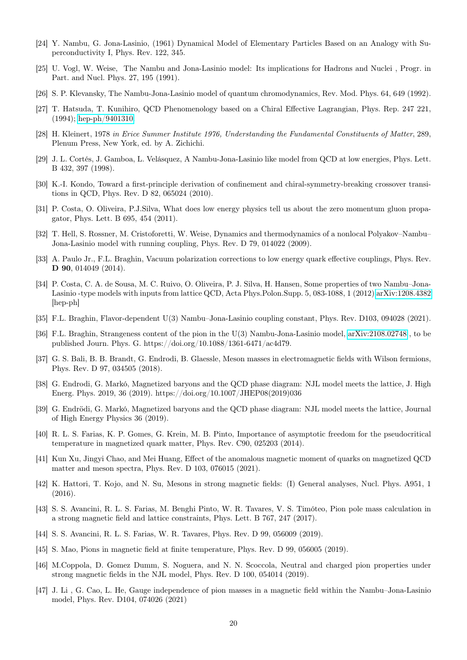- <span id="page-19-0"></span>[24] Y. Nambu, G. Jona-Lasinio, (1961) Dynamical Model of Elementary Particles Based on an Analogy with Superconductivity I, Phys. Rev. 122, 345.
- <span id="page-19-1"></span>[25] U. Vogl, W. Weise, The Nambu and Jona-Lasinio model: Its implications for Hadrons and Nuclei , Progr. in Part. and Nucl. Phys. 27, 195 (1991).
- <span id="page-19-2"></span>[26] S. P. Klevansky, The Nambu-Jona-Lasinio model of quantum chromodynamics, Rev. Mod. Phys. 64, 649 (1992).
- <span id="page-19-3"></span>[27] T. Hatsuda, T. Kunihiro, QCD Phenomenology based on a Chiral Effective Lagrangian, Phys. Rep. 247 221, (1994); [hep-ph/9401310.](http://arxiv.org/abs/hep-ph/9401310)
- <span id="page-19-4"></span>[28] H. Kleinert, 1978 in Erice Summer Institute 1976, Understanding the Fundamental Constituents of Matter, 289, Plenum Press, New York, ed. by A. Zichichi.
- <span id="page-19-5"></span>[29] J. L. Cortés, J. Gamboa, L. Velásquez, A Nambu-Jona-Lasinio like model from QCD at low energies, Phys. Lett. B 432, 397 (1998).
- <span id="page-19-6"></span>[30] K.-I. Kondo, Toward a first-principle derivation of confinement and chiral-symmetry-breaking crossover transitions in QCD, Phys. Rev. D 82, 065024 (2010).
- <span id="page-19-7"></span>[31] P. Costa, O. Oliveira, P.J.Silva, What does low energy physics tell us about the zero momentum gluon propagator, Phys. Lett. B 695, 454 (2011).
- <span id="page-19-8"></span>[32] T. Hell, S. Rossner, M. Cristoforetti, W. Weise, Dynamics and thermodynamics of a nonlocal Polyakov–Nambu– Jona-Lasinio model with running coupling, Phys. Rev. D 79, 014022 (2009).
- <span id="page-19-9"></span>[33] A. Paulo Jr., F.L. Braghin, Vacuum polarization corrections to low energy quark effective couplings, Phys. Rev. D 90, 014049 (2014).
- <span id="page-19-10"></span>[34] P. Costa, C. A. de Sousa, M. C. Ruivo, O. Oliveira, P. J. Silva, H. Hansen, Some properties of two Nambu–Jona-Lasinio -type models with inputs from lattice QCD, Acta Phys.Polon.Supp. 5, 083-1088, 1 (2012) [arXiv:1208.4382](http://arxiv.org/abs/1208.4382) [hep-ph]
- <span id="page-19-11"></span>[35] F.L. Braghin, Flavor-dependent U(3) Nambu–Jona-Lasinio coupling constant, Phys. Rev. D103, 094028 (2021).
- <span id="page-19-12"></span>[36] F.L. Braghin, Strangeness content of the pion in the U(3) Nambu-Jona-Lasinio model, [arXiv:2108.02748](http://arxiv.org/abs/2108.02748) , to be published Journ. Phys. G. https://doi.org/10.1088/1361-6471/ac4d79.
- <span id="page-19-13"></span>[37] G. S. Bali, B. B. Brandt, G. Endrodi, B. Glaessle, Meson masses in electromagnetic fields with Wilson fermions, Phys. Rev. D 97, 034505 (2018).
- <span id="page-19-14"></span>[38] G. Endrodi, G. Markó, Magnetized baryons and the QCD phase diagram: NJL model meets the lattice, J. High Energ. Phys. 2019, 36 (2019). https://doi.org/10.1007/JHEP08(2019)036
- <span id="page-19-15"></span>[39] G. Endrödi, G. Markó, Magnetized baryons and the QCD phase diagram: NJL model meets the lattice, Journal of High Energy Physics 36 (2019).
- <span id="page-19-16"></span>[40] R. L. S. Farias, K. P. Gomes, G. Krein, M. B. Pinto, Importance of asymptotic freedom for the pseudocritical temperature in magnetized quark matter, Phys. Rev. C90, 025203 (2014).
- <span id="page-19-17"></span>[41] Kun Xu, Jingyi Chao, and Mei Huang, Effect of the anomalous magnetic moment of quarks on magnetized QCD matter and meson spectra, Phys. Rev. D 103, 076015 (2021).
- <span id="page-19-18"></span>[42] K. Hattori, T. Kojo, and N. Su, Mesons in strong magnetic fields: (I) General analyses, Nucl. Phys. A951, 1 (2016).
- <span id="page-19-19"></span>[43] S. S. Avancini, R. L. S. Farias, M. Benghi Pinto, W. R. Tavares, V. S. Timóteo, Pion pole mass calculation in a strong magnetic field and lattice constraints, Phys. Lett. B 767, 247 (2017).
- <span id="page-19-20"></span>[44] S. S. Avancini, R. L. S. Farias, W. R. Tavares, Phys. Rev. D 99, 056009 (2019).
- <span id="page-19-21"></span>[45] S. Mao, Pions in magnetic field at finite temperature, Phys. Rev. D 99, 056005 (2019).
- <span id="page-19-22"></span>[46] M.Coppola, D. Gomez Dumm, S. Noguera, and N. N. Scoccola, Neutral and charged pion properties under strong magnetic fields in the NJL model, Phys. Rev. D 100, 054014 (2019).
- <span id="page-19-23"></span>[47] J. Li , G. Cao, L. He, Gauge independence of pion masses in a magnetic field within the Nambu–Jona-Lasinio model, Phys. Rev. D104, 074026 (2021)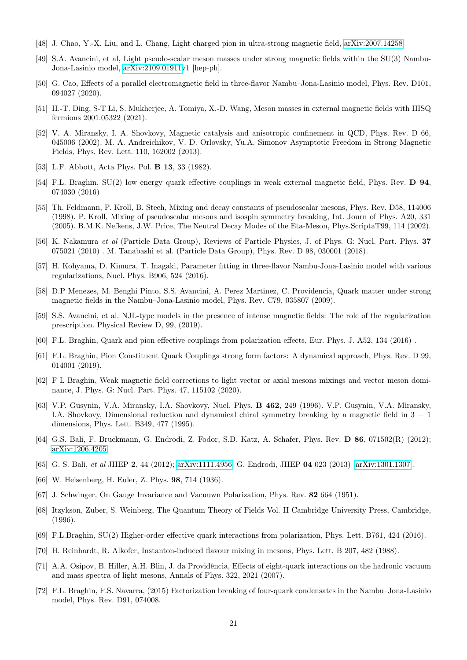- <span id="page-20-1"></span>[48] J. Chao, Y.-X. Liu, and L. Chang, Light charged pion in ultra-strong magnetic field, [arXiv:2007.14258](http://arxiv.org/abs/2007.14258)
- <span id="page-20-2"></span>[49] S.A. Avancini, et al, Light pseudo-scalar meson masses under strong magnetic fields within the SU(3) Nambu-Jona-Lasinio model, [arXiv:2109.01911v](http://arxiv.org/abs/2109.01911)1 [hep-ph].
- <span id="page-20-3"></span>[50] G. Cao, Effects of a parallel electromagnetic field in three-flavor Nambu–Jona-Lasinio model, Phys. Rev. D101, 094027 (2020).
- <span id="page-20-4"></span>[51] H.-T. Ding, S-T Li, S. Mukherjee, A. Tomiya, X.-D. Wang, Meson masses in external magnetic fields with HISQ fermions 2001.05322 (2021).
- <span id="page-20-0"></span>[52] V. A. Miransky, I. A. Shovkovy, Magnetic catalysis and anisotropic confinement in QCD, Phys. Rev. D 66, 045006 (2002). M. A. Andreichikov, V. D. Orlovsky, Yu.A. Simonov Asymptotic Freedom in Strong Magnetic Fields, Phys. Rev. Lett. 110, 162002 (2013).
- <span id="page-20-5"></span>[53] L.F. Abbott, Acta Phys. Pol. B 13, 33 (1982).
- <span id="page-20-6"></span>[54] F.L. Braghin, SU(2) low energy quark effective couplings in weak external magnetic field, Phys. Rev. D 94, 074030 (2016)
- <span id="page-20-7"></span>[55] Th. Feldmann, P. Kroll, B. Stech, Mixing and decay constants of pseudoscalar mesons, Phys. Rev. D58, 114006 (1998). P. Kroll, Mixing of pseudoscalar mesons and isospin symmetry breaking, Int. Journ of Phys. A20, 331 (2005). B.M.K. Nefkens, J.W. Price, The Neutral Decay Modes of the Eta-Meson, Phys.ScriptaT99, 114 (2002).
- <span id="page-20-8"></span>[56] K. Nakamura et al (Particle Data Group), Reviews of Particle Physics, J. of Phys. G: Nucl. Part. Phys. 37 075021 (2010) . M. Tanabashi et al. (Particle Data Group), Phys. Rev. D 98, 030001 (2018).
- <span id="page-20-9"></span>[57] H. Kohyama, D. Kimura, T. Inagaki, Parameter fitting in three-flavor Nambu-Jona-Lasinio model with various regularizations, Nucl. Phys. B906, 524 (2016).
- <span id="page-20-10"></span>[58] D.P Menezes, M. Benghi Pinto, S.S. Avancini, A. Perez Martinez, C. Providencia, Quark matter under strong magnetic fields in the Nambu–Jona-Lasinio model, Phys. Rev. C79, 035807 (2009).
- <span id="page-20-11"></span>[59] S.S. Avancini, et al. NJL-type models in the presence of intense magnetic fields: The role of the regularization prescription. Physical Review D, 99, (2019).
- <span id="page-20-12"></span>[60] F.L. Braghin, Quark and pion effective couplings from polarization effects, Eur. Phys. J. A52, 134 (2016) .
- <span id="page-20-13"></span>[61] F.L. Braghin, Pion Constituent Quark Couplings strong form factors: A dynamical approach, Phys. Rev. D 99, 014001 (2019).
- <span id="page-20-14"></span>[62] F L Braghin, Weak magnetic field corrections to light vector or axial mesons mixings and vector meson dominance, J. Phys. G: Nucl. Part. Phys. 47, 115102 (2020).
- <span id="page-20-15"></span>[63] V.P. Gusynin, V.A. Miransky, I.A. Shovkovy, Nucl. Phys. B 462, 249 (1996). V.P. Gusynin, V.A. Miransky, I.A. Shovkovy, Dimensional reduction and dynamical chiral symmetry breaking by a magnetic field in 3 + 1 dimensions, Phys. Lett. B349, 477 (1995).
- <span id="page-20-16"></span>[64] G.S. Bali, F. Bruckmann, G. Endrodi, Z. Fodor, S.D. Katz, A. Schafer, Phys. Rev. D 86, 071502(R) (2012); [arXiv:1206.4205.](http://arxiv.org/abs/1206.4205)
- <span id="page-20-17"></span>[65] G. S. Bali, et al JHEP 2, 44 (2012); [arXiv:1111.4956.](http://arxiv.org/abs/1111.4956) G. Endrodi, JHEP 04 023 (2013) [;arXiv:1301.1307](http://arxiv.org/abs/1301.1307) .
- <span id="page-20-18"></span>[66] W. Heisenberg, H. Euler, Z. Phys. 98, 714 (1936).
- <span id="page-20-19"></span>[67] J. Schwinger, On Gauge Invariance and Vacuuwn Polarization, Phys. Rev. 82 664 (1951).
- <span id="page-20-20"></span>[68] Itzykson, Zuber, S. Weinberg, The Quantum Theory of Fields Vol. II Cambridge University Press, Cambridge, (1996).
- <span id="page-20-21"></span>[69] F.L.Braghin, SU(2) Higher-order effective quark interactions from polarization, Phys. Lett. B761, 424 (2016).
- <span id="page-20-22"></span>[70] H. Reinhardt, R. Alkofer, Instanton-induced flavour mixing in mesons, Phys. Lett. B 207, 482 (1988).
- <span id="page-20-23"></span>[71] A.A. Osipov, B. Hiller, A.H. Blin, J. da Providência, Effects of eight-quark interactions on the hadronic vacuum and mass spectra of light mesons, Annals of Phys. 322, 2021 (2007).
- <span id="page-20-24"></span>[72] F.L. Braghin, F.S. Navarra, (2015) Factorization breaking of four-quark condensates in the Nambu–Jona-Lasinio model, Phys. Rev. D91, 074008.